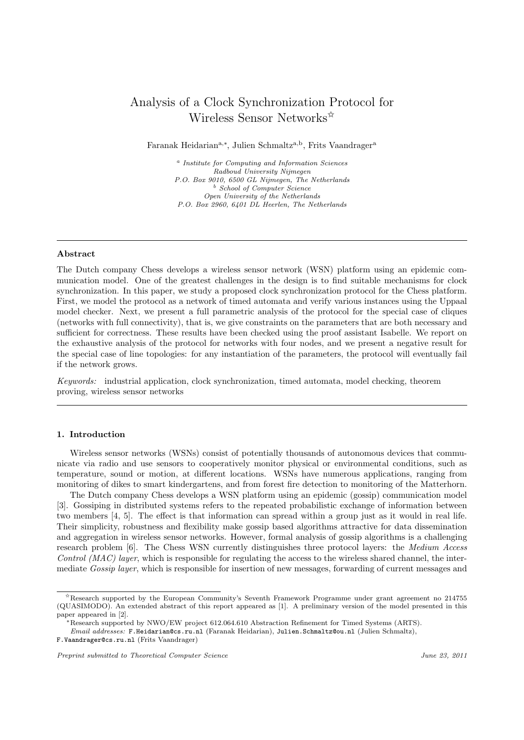# Analysis of a Clock Synchronization Protocol for Wireless Sensor Networks<sup> $\hat{X}$ </sup>

Faranak Heidarian<sup>a,∗</sup>, Julien Schmaltz<sup>a,b</sup>, Frits Vaandrager<sup>a</sup>

a Institute for Computing and Information Sciences Radboud University Nijmegen P.O. Box 9010, 6500 GL Nijmegen, The Netherlands <sup>b</sup> School of Computer Science Open University of the Netherlands P.O. Box 2960, 6401 DL Heerlen, The Netherlands

## Abstract

The Dutch company Chess develops a wireless sensor network (WSN) platform using an epidemic communication model. One of the greatest challenges in the design is to find suitable mechanisms for clock synchronization. In this paper, we study a proposed clock synchronization protocol for the Chess platform. First, we model the protocol as a network of timed automata and verify various instances using the Uppaal model checker. Next, we present a full parametric analysis of the protocol for the special case of cliques (networks with full connectivity), that is, we give constraints on the parameters that are both necessary and sufficient for correctness. These results have been checked using the proof assistant Isabelle. We report on the exhaustive analysis of the protocol for networks with four nodes, and we present a negative result for the special case of line topologies: for any instantiation of the parameters, the protocol will eventually fail if the network grows.

Keywords: industrial application, clock synchronization, timed automata, model checking, theorem proving, wireless sensor networks

## 1. Introduction

Wireless sensor networks (WSNs) consist of potentially thousands of autonomous devices that communicate via radio and use sensors to cooperatively monitor physical or environmental conditions, such as temperature, sound or motion, at different locations. WSNs have numerous applications, ranging from monitoring of dikes to smart kindergartens, and from forest fire detection to monitoring of the Matterhorn.

The Dutch company Chess develops a WSN platform using an epidemic (gossip) communication model [3]. Gossiping in distributed systems refers to the repeated probabilistic exchange of information between two members [4, 5]. The effect is that information can spread within a group just as it would in real life. Their simplicity, robustness and flexibility make gossip based algorithms attractive for data dissemination and aggregation in wireless sensor networks. However, formal analysis of gossip algorithms is a challenging research problem [6]. The Chess WSN currently distinguishes three protocol layers: the Medium Access Control (MAC) layer, which is responsible for regulating the access to the wireless shared channel, the intermediate Gossip layer, which is responsible for insertion of new messages, forwarding of current messages and

<sup>✩</sup>Research supported by the European Community's Seventh Framework Programme under grant agreement no 214755 (QUASIMODO). An extended abstract of this report appeared as [1]. A preliminary version of the model presented in this paper appeared in [2].

<sup>∗</sup>Research supported by NWO/EW project 612.064.610 Abstraction Refinement for Timed Systems (ARTS).

Email addresses: F.Heidarian@cs.ru.nl (Faranak Heidarian), Julien.Schmaltz@ou.nl (Julien Schmaltz),

F.Vaandrager@cs.ru.nl (Frits Vaandrager)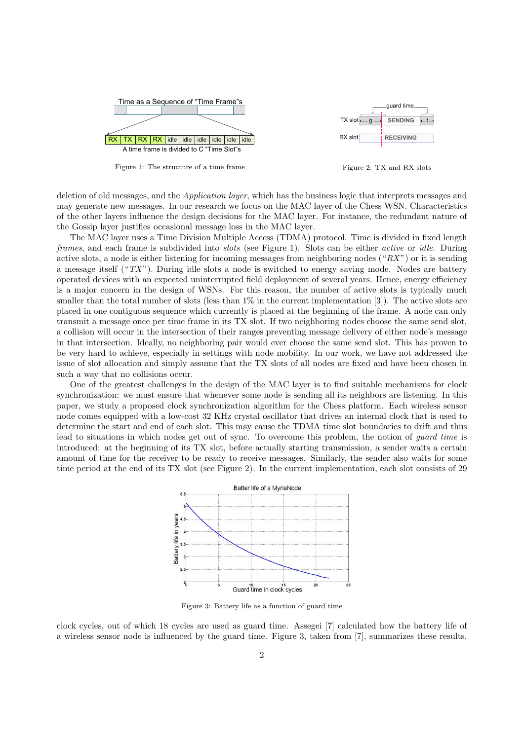

Figure 1: The structure of a time frame



Figure 2: TX and RX slots

deletion of old messages, and the Application layer, which has the business logic that interprets messages and may generate new messages. In our research we focus on the MAC layer of the Chess WSN. Characteristics of the other layers influence the design decisions for the MAC layer. For instance, the redundant nature of the Gossip layer justifies occasional message loss in the MAC layer.

The MAC layer uses a Time Division Multiple Access (TDMA) protocol. Time is divided in fixed length frames, and each frame is subdivided into slots (see Figure 1). Slots can be either active or idle. During active slots, a node is either listening for incoming messages from neighboring nodes (" $RX$ ") or it is sending a message itself  $({}^{\omega}TX^{\omega})$ . During idle slots a node is switched to energy saving mode. Nodes are battery operated devices with an expected uninterrupted field deployment of several years. Hence, energy efficiency is a major concern in the design of WSNs. For this reason, the number of active slots is typically much smaller than the total number of slots (less than 1% in the current implementation [3]). The active slots are placed in one contiguous sequence which currently is placed at the beginning of the frame. A node can only transmit a message once per time frame in its TX slot. If two neighboring nodes choose the same send slot, a collision will occur in the intersection of their ranges preventing message delivery of either node's message in that intersection. Ideally, no neighboring pair would ever choose the same send slot. This has proven to be very hard to achieve, especially in settings with node mobility. In our work, we have not addressed the issue of slot allocation and simply assume that the TX slots of all nodes are fixed and have been chosen in such a way that no collisions occur.

One of the greatest challenges in the design of the MAC layer is to find suitable mechanisms for clock synchronization: we must ensure that whenever some node is sending all its neighbors are listening. In this paper, we study a proposed clock synchronization algorithm for the Chess platform. Each wireless sensor node comes equipped with a low-cost 32 KHz crystal oscillator that drives an internal clock that is used to determine the start and end of each slot. This may cause the TDMA time slot boundaries to drift and thus lead to situations in which nodes get out of sync. To overcome this problem, the notion of guard time is introduced: at the beginning of its TX slot, before actually starting transmission, a sender waits a certain amount of time for the receiver to be ready to receive messages. Similarly, the sender also waits for some time period at the end of its TX slot (see Figure 2). In the current implementation, each slot consists of 29



Figure 3: Battery life as a function of guard time

clock cycles, out of which 18 cycles are used as guard time. Assegei [7] calculated how the battery life of a wireless sensor node is influenced by the guard time. Figure 3, taken from [7], summarizes these results.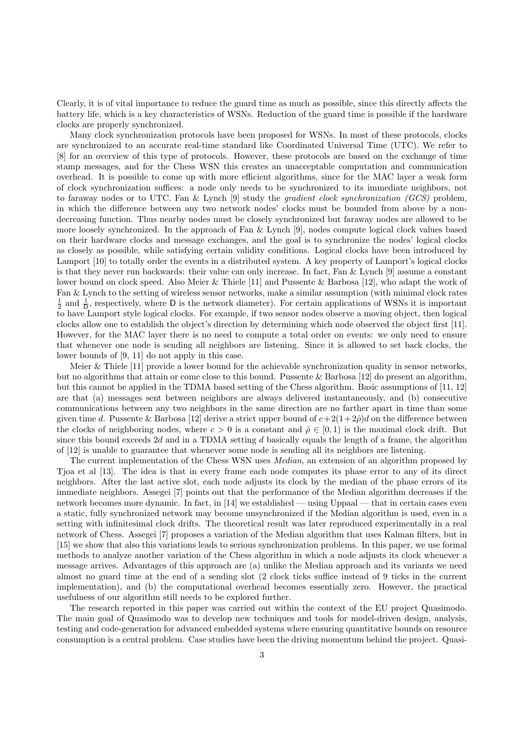Clearly, it is of vital importance to reduce the guard time as much as possible, since this directly affects the battery life, which is a key characteristics of WSNs. Reduction of the guard time is possible if the hardware clocks are properly synchronized.

Many clock synchronization protocols have been proposed for WSNs. In most of these protocols, clocks are synchronized to an accurate real-time standard like Coordinated Universal Time (UTC). We refer to [8] for an overview of this type of protocols. However, these protocols are based on the exchange of time stamp messages, and for the Chess WSN this creates an unacceptable computation and communication overhead. It is possible to come up with more efficient algorithms, since for the MAC layer a weak form of clock synchronization suffices: a node only needs to be synchronized to its immediate neighbors, not to faraway nodes or to UTC. Fan & Lynch [9] study the gradient clock synchronization (GCS) problem, in which the difference between any two network nodes' clocks must be bounded from above by a nondecreasing function. Thus nearby nodes must be closely synchronized but faraway nodes are allowed to be more loosely synchronized. In the approach of Fan & Lynch [9], nodes compute logical clock values based on their hardware clocks and message exchanges, and the goal is to synchronize the nodes' logical clocks as closely as possible, while satisfying certain validity conditions. Logical clocks have been introduced by Lamport [10] to totally order the events in a distributed system. A key property of Lamport's logical clocks is that they never run backwards: their value can only increase. In fact, Fan & Lynch [9] assume a constant lower bound on clock speed. Also Meier & Thiele [11] and Pussente & Barbosa [12], who adapt the work of Fan & Lynch to the setting of wireless sensor networks, make a similar assumption (with minimal clock rates  $\frac{1}{2}$  and  $\frac{1}{D}$ , respectively, where D is the network diameter). For certain applications of WSNs it is important to have Lamport style logical clocks. For example, if two sensor nodes observe a moving object, then logical clocks allow one to establish the object's direction by determining which node observed the object first [11]. However, for the MAC layer there is no need to compute a total order on events: we only need to ensure that whenever one node is sending all neighbors are listening. Since it is allowed to set back clocks, the lower bounds of [9, 11] do not apply in this case.

Meier & Thiele [11] provide a lower bound for the achievable synchronization quality in sensor networks, but no algorithms that attain or come close to this bound. Pussente & Barbosa [12] do present an algorithm, but this cannot be applied in the TDMA based setting of the Chess algorithm. Basic assumptions of [11, 12] are that (a) messages sent between neighbors are always delivered instantaneously, and (b) consecutive communications between any two neighbors in the same direction are no farther apart in time than some given time d. Pussente & Barbosa [12] derive a strict upper bound of  $c+2(1+2\hat{\rho})d$  on the difference between the clocks of neighboring nodes, where  $c > 0$  is a constant and  $\hat{\rho} \in [0, 1)$  is the maximal clock drift. But since this bound exceeds  $2d$  and in a TDMA setting d basically equals the length of a frame, the algorithm of [12] is unable to guarantee that whenever some node is sending all its neighbors are listening.

The current implementation of the Chess WSN uses Median, an extension of an algorithm proposed by Tjoa et al [13]. The idea is that in every frame each node computes its phase error to any of its direct neighbors. After the last active slot, each node adjusts its clock by the median of the phase errors of its immediate neighbors. Assegei [7] points out that the performance of the Median algorithm decreases if the network becomes more dynamic. In fact, in [14] we established — using Uppaal — that in certain cases even a static, fully synchronized network may become unsynchronized if the Median algorithm is used, even in a setting with infinitesimal clock drifts. The theoretical result was later reproduced experimentally in a real network of Chess. Assegei [7] proposes a variation of the Median algorithm that uses Kalman filters, but in [15] we show that also this variations leads to serious synchronization problems. In this paper, we use formal methods to analyze another variation of the Chess algorithm in which a node adjusts its clock whenever a message arrives. Advantages of this approach are (a) unlike the Median approach and its variants we need almost no guard time at the end of a sending slot (2 clock ticks suffice instead of 9 ticks in the current implementation), and (b) the computational overhead becomes essentially zero. However, the practical usefulness of our algorithm still needs to be explored further.

The research reported in this paper was carried out within the context of the EU project Quasimodo. The main goal of Quasimodo was to develop new techniques and tools for model-driven design, analysis, testing and code-generation for advanced embedded systems where ensuring quantitative bounds on resource consumption is a central problem. Case studies have been the driving momentum behind the project. Quasi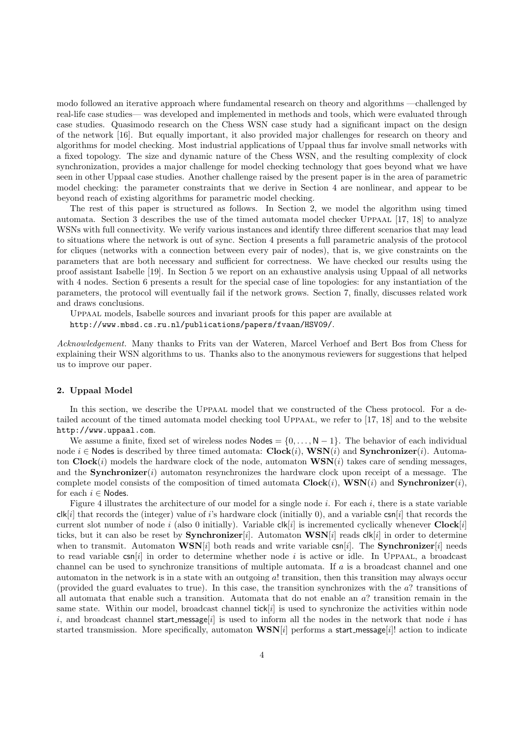modo followed an iterative approach where fundamental research on theory and algorithms —challenged by real-life case studies— was developed and implemented in methods and tools, which were evaluated through case studies. Quasimodo research on the Chess WSN case study had a significant impact on the design of the network [16]. But equally important, it also provided major challenges for research on theory and algorithms for model checking. Most industrial applications of Uppaal thus far involve small networks with a fixed topology. The size and dynamic nature of the Chess WSN, and the resulting complexity of clock synchronization, provides a major challenge for model checking technology that goes beyond what we have seen in other Uppaal case studies. Another challenge raised by the present paper is in the area of parametric model checking: the parameter constraints that we derive in Section 4 are nonlinear, and appear to be beyond reach of existing algorithms for parametric model checking.

The rest of this paper is structured as follows. In Section 2, we model the algorithm using timed automata. Section 3 describes the use of the timed automata model checker UPPAAL [17, 18] to analyze WSNs with full connectivity. We verify various instances and identify three different scenarios that may lead to situations where the network is out of sync. Section 4 presents a full parametric analysis of the protocol for cliques (networks with a connection between every pair of nodes), that is, we give constraints on the parameters that are both necessary and sufficient for correctness. We have checked our results using the proof assistant Isabelle [19]. In Section 5 we report on an exhaustive analysis using Uppaal of all networks with 4 nodes. Section 6 presents a result for the special case of line topologies: for any instantiation of the parameters, the protocol will eventually fail if the network grows. Section 7, finally, discusses related work and draws conclusions.

Uppaal models, Isabelle sources and invariant proofs for this paper are available at http://www.mbsd.cs.ru.nl/publications/papers/fvaan/HSV09/.

Acknowledgement. Many thanks to Frits van der Wateren, Marcel Verhoef and Bert Bos from Chess for explaining their WSN algorithms to us. Thanks also to the anonymous reviewers for suggestions that helped us to improve our paper.

## 2. Uppaal Model

In this section, we describe the UPPAAL model that we constructed of the Chess protocol. For a detailed account of the timed automata model checking tool Uppaal, we refer to [17, 18] and to the website http://www.uppaal.com.

We assume a finite, fixed set of wireless nodes  $N$ odes =  $\{0, \ldots, N-1\}$ . The behavior of each individual node  $i \in \text{Nodes}$  is described by three timed automata:  $\text{Clock}(i)$ ,  $\text{WSN}(i)$  and  $\text{Synchronizer}(i)$ . Automaton  $Clock(i)$  models the hardware clock of the node, automaton  $WSN(i)$  takes care of sending messages, and the **Synchronizer** $(i)$  automaton resynchronizes the hardware clock upon receipt of a message. The complete model consists of the composition of timed automata  $Clock(i)$ ,  $WSN(i)$  and  $Synchronous(i)$ , for each  $i \in$  Nodes.

Figure 4 illustrates the architecture of our model for a single node i. For each i, there is a state variable  $\mathsf{clk}[i]$  that records the (integer) value of i's hardware clock (initially 0), and a variable csn[i] that records the current slot number of node i (also 0 initially). Variable  $c[k[i]$  is incremented cyclically whenever  $Clock[i]$ ticks, but it can also be reset by **Synchronizer**[i]. Automaton  $\mathbf{WSN}[i]$  reads  $\mathbf{c}$ ||k|| in order to determine when to transmit. Automaton  $\mathbf{WSN}[i]$  both reads and write variable  $\text{csn}[i]$ . The **Synchronizer**[i] needs to read variable  $csn[i]$  in order to determine whether node i is active or idle. In UPPAAL, a broadcast channel can be used to synchronize transitions of multiple automata. If  $\alpha$  is a broadcast channel and one automaton in the network is in a state with an outgoing a! transition, then this transition may always occur (provided the guard evaluates to true). In this case, the transition synchronizes with the a? transitions of all automata that enable such a transition. Automata that do not enable an a? transition remain in the same state. Within our model, broadcast channel tick[i] is used to synchronize the activities within node i, and broadcast channel start message [i] is used to inform all the nodes in the network that node i has started transmission. More specifically, automaton  $\mathbf{WSN}[i]$  performs a start message[i]! action to indicate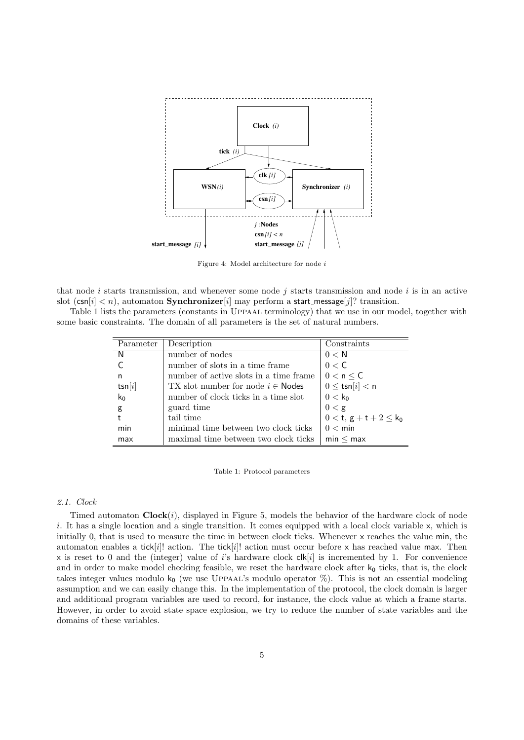

Figure 4: Model architecture for node i

that node i starts transmission, and whenever some node j starts transmission and node i is in an active slot  $(\text{csn}[i] < n)$ , automaton **Synchronizer**[i] may perform a start\_message[j]? transition.

Table 1 lists the parameters (constants in Uppaal terminology) that we use in our model, together with some basic constraints. The domain of all parameters is the set of natural numbers.

| Parameter | Description                            | Constraints                 |
|-----------|----------------------------------------|-----------------------------|
| N         | number of nodes                        | 0 < N                       |
|           | number of slots in a time frame        | 0 < C                       |
| n         | number of active slots in a time frame | $0 < n \leq C$              |
| tsn $[i]$ | TX slot number for node $i \in$ Nodes  | $0 \leq \text{tsn}[i] < n$  |
| $k_0$     | number of clock ticks in a time slot   | $0 < k_0$                   |
| g         | guard time                             | 0 < g                       |
|           | tail time                              | $0 < t, g + t + 2 \leq k_0$ |
| min       | minimal time between two clock ticks   | $0 < \min$                  |
| max       | maximal time between two clock ticks   | min < max                   |

#### Table 1: Protocol parameters

#### 2.1. Clock

Timed automaton  $\text{Clock}(i)$ , displayed in Figure 5, models the behavior of the hardware clock of node i. It has a single location and a single transition. It comes equipped with a local clock variable  $x$ , which is initially 0, that is used to measure the time in between clock ticks. Whenever x reaches the value min, the automaton enables a tick[i]! action. The tick[i]! action must occur before x has reached value max. Then x is reset to 0 and the (integer) value of i's hardware clock  $\mathsf{ck}[i]$  is incremented by 1. For convenience and in order to make model checking feasible, we reset the hardware clock after  $k_0$  ticks, that is, the clock takes integer values modulo  $k_0$  (we use UPPAAL's modulo operator  $\%$ ). This is not an essential modeling assumption and we can easily change this. In the implementation of the protocol, the clock domain is larger and additional program variables are used to record, for instance, the clock value at which a frame starts. However, in order to avoid state space explosion, we try to reduce the number of state variables and the domains of these variables.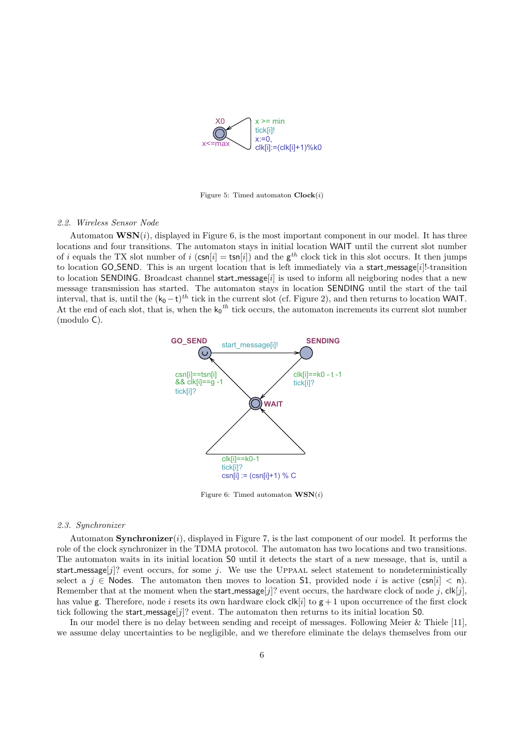

Figure 5: Timed automaton  $\text{Clock}(i)$ 

## 2.2. Wireless Sensor Node

Automaton  $\mathbf{WSN}(i)$ , displayed in Figure 6, is the most important component in our model. It has three locations and four transitions. The automaton stays in initial location WAIT until the current slot number of i equals the TX slot number of i  $(\text{csn}[i] = \text{tsn}[i])$  and the  $g^{th}$  clock tick in this slot occurs. It then jumps to location GO SEND. This is an urgent location that is left immediately via a start message[ $i$ ]!-transition to location SENDING. Broadcast channel start message  $[i]$  is used to inform all neigboring nodes that a new message transmission has started. The automaton stays in location SENDING until the start of the tail interval, that is, until the  $(k_0-t)^{th}$  tick in the current slot (cf. Figure 2), and then returns to location WAIT. At the end of each slot, that is, when the  $k_0$ <sup>th</sup> tick occurs, the automaton increments its current slot number (modulo C).



Figure 6: Timed automaton  $\mathbf{WSN}(i)$ 

#### 2.3. Synchronizer

Automaton **Synchronizer** $(i)$ , displayed in Figure 7, is the last component of our model. It performs the role of the clock synchronizer in the TDMA protocol. The automaton has two locations and two transitions. The automaton waits in its initial location S0 until it detects the start of a new message, that is, until a start message [j]? event occurs, for some j. We use the UPPAAL select statement to nondeterministically select a  $j \in$  Nodes. The automaton then moves to location S1, provided node i is active (csn[i] < n). Remember that at the moment when the start\_message[j]? event occurs, the hardware clock of node j, clk[j], has value g. Therefore, node i resets its own hardware clock  $\mathsf{ck}[i]$  to  $g + 1$  upon occurrence of the first clock tick following the start message  $[j]$ ? event. The automaton then returns to its initial location S0.

In our model there is no delay between sending and receipt of messages. Following Meier & Thiele [11], we assume delay uncertainties to be negligible, and we therefore eliminate the delays themselves from our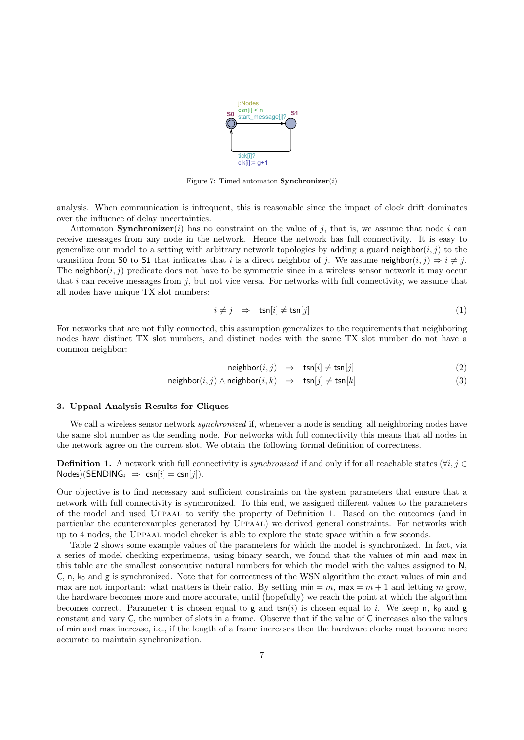

Figure 7: Timed automaton **Synchronizer** $(i)$ 

analysis. When communication is infrequent, this is reasonable since the impact of clock drift dominates over the influence of delay uncertainties.

Automaton **Synchronizer** $(i)$  has no constraint on the value of j, that is, we assume that node i can receive messages from any node in the network. Hence the network has full connectivity. It is easy to generalize our model to a setting with arbitrary network topologies by adding a guard neighbor(i, j) to the transition from S0 to S1 that indicates that i is a direct neighbor of j. We assume neighbor $(i, j) \Rightarrow i \neq j$ . The neighbor $(i, j)$  predicate does not have to be symmetric since in a wireless sensor network it may occur that  $i$  can receive messages from  $j$ , but not vice versa. For networks with full connectivity, we assume that all nodes have unique TX slot numbers:

$$
i \neq j \quad \Rightarrow \quad \tan[i] \neq \tan[j] \tag{1}
$$

For networks that are not fully connected, this assumption generalizes to the requirements that neighboring nodes have distinct TX slot numbers, and distinct nodes with the same TX slot number do not have a common neighbor:

$$
\mathsf{neighbor}(i,j) \quad \Rightarrow \quad \mathsf{tsn}[i] \neq \mathsf{tsn}[j] \tag{2}
$$

$$
\mathsf{neighbor}(i, j) \land \mathsf{neighbor}(i, k) \quad \Rightarrow \quad \mathsf{tsn}[j] \neq \mathsf{tsn}[k] \tag{3}
$$

#### 3. Uppaal Analysis Results for Cliques

We call a wireless sensor network *synchronized* if, whenever a node is sending, all neighboring nodes have the same slot number as the sending node. For networks with full connectivity this means that all nodes in the network agree on the current slot. We obtain the following formal definition of correctness.

**Definition 1.** A network with full connectivity is *synchronized* if and only if for all reachable states ( $\forall i, j \in$  $\text{Nodes})(\text{SENDING}_i \Rightarrow \text{csn}[i] = \text{csn}[j]).$ 

Our objective is to find necessary and sufficient constraints on the system parameters that ensure that a network with full connectivity is synchronized. To this end, we assigned different values to the parameters of the model and used Uppaal to verify the property of Definition 1. Based on the outcomes (and in particular the counterexamples generated by Uppaal) we derived general constraints. For networks with up to 4 nodes, the Uppaal model checker is able to explore the state space within a few seconds.

Table 2 shows some example values of the parameters for which the model is synchronized. In fact, via a series of model checking experiments, using binary search, we found that the values of min and max in this table are the smallest consecutive natural numbers for which the model with the values assigned to N,  $C$ , n,  $k_0$  and g is synchronized. Note that for correctness of the WSN algorithm the exact values of min and max are not important: what matters is their ratio. By setting  $\min = m$ ,  $\max = m + 1$  and letting m grow, the hardware becomes more and more accurate, until (hopefully) we reach the point at which the algorithm becomes correct. Parameter t is chosen equal to g and  $tsn(i)$  is chosen equal to i. We keep n,  $k_0$  and g constant and vary C, the number of slots in a frame. Observe that if the value of C increases also the values of min and max increase, i.e., if the length of a frame increases then the hardware clocks must become more accurate to maintain synchronization.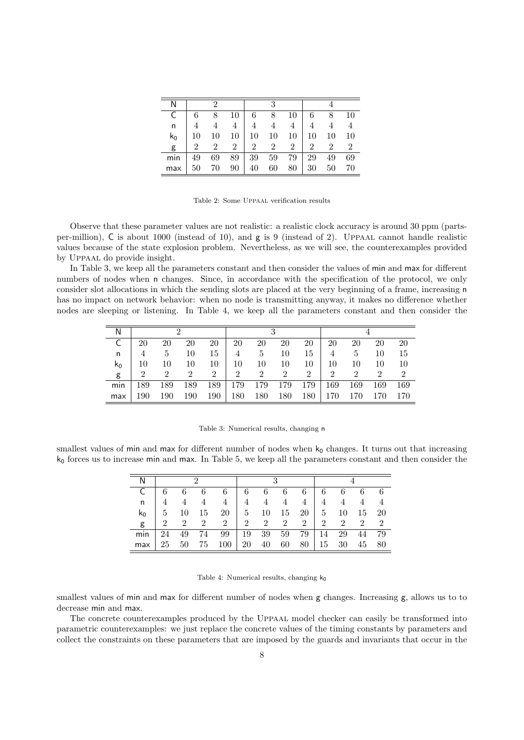| N     |    |    |    |    | 3  |    |                             |    |    |
|-------|----|----|----|----|----|----|-----------------------------|----|----|
| C     | 6  |    | 10 | 6  | 8  | 10 | 6                           | 8  | 10 |
| n     |    |    | 4  | 4  |    |    |                             |    |    |
| $k_0$ | 10 | 10 | 10 | 10 | 10 | 10 | 10                          | 10 | 10 |
| g     | 2  | 2  | 2  | 2  | 2  | 2  | $\mathcal{D}_{\mathcal{L}}$ | 2  | 2  |
| min   | 49 | 69 | 89 | 39 | 59 | 79 | 29                          | 49 | 69 |
| max   | 50 | 70 | 90 | 40 | 60 | 80 | 30                          | 50 | 70 |

Table 2: Some Uppaal verification results

Observe that these parameter values are not realistic: a realistic clock accuracy is around 30 ppm (partsper-million), C is about 1000 (instead of 10), and g is 9 (instead of 2). Uppaal cannot handle realistic values because of the state explosion problem. Nevertheless, as we will see, the counterexamples provided by Uppaal do provide insight.

In Table 3, we keep all the parameters constant and then consider the values of min and max for different numbers of nodes when n changes. Since, in accordance with the specification of the protocol, we only consider slot allocations in which the sending slots are placed at the very beginning of a frame, increasing n has no impact on network behavior: when no node is transmitting anyway, it makes no difference whether nodes are sleeping or listening. In Table 4, we keep all the parameters constant and then consider the

| N              |     |              |         |     |     | റ           |     |     |     |     |     |     |  |
|----------------|-----|--------------|---------|-----|-----|-------------|-----|-----|-----|-----|-----|-----|--|
|                | 20  | 20           | 20      | 20  | 20  | 20          | 20  | 20  | 20  | 20  | 20  | 20  |  |
| n              | 4   | <sub>5</sub> | 10      | 15  | 4   | $\mathbf b$ | 10  | 15  | 4   | 5.  | 10  | 15  |  |
| $\mathsf{K}_0$ |     | 10           | 10      | 10  | 10  | 10          | 10  | 10  | 10  | 10  | 10  | 10  |  |
| g              | 2   | ച            | 2       | 2   | 2   | 2           | 2   | 2   | 2   | 9   | 2   | 2   |  |
| min            | 189 | 189          | 189     | 189 | 179 | 179         | 179 | 179 | 169 | 169 | 169 | 169 |  |
| max            | 190 | 190          | $190\,$ | 190 | 180 | 180         | 180 | 180 | 170 | 70  |     | 170 |  |

Table 3: Numerical results, changing n

smallest values of min and max for different number of nodes when  $k_0$  changes. It turns out that increasing  $k_0$  forces us to increase min and max. In Table 5, we keep all the parameters constant and then consider the

|       |    | 6  | 6  | 6              | 6              | 6              | 6              | 6              | 6              | 6              | 6  | 6              |
|-------|----|----|----|----------------|----------------|----------------|----------------|----------------|----------------|----------------|----|----------------|
| n     |    | 4  |    | 4              | $\overline{4}$ | 4              | 4              | $\overline{4}$ | $\overline{4}$ | $\overline{4}$ |    |                |
| $k_0$ | 5  | 10 | 15 | 20             | 5              | 10             | 15             | 20             | 5              | 10             | 15 | 20             |
| g     | 2  | 2  | 2  | $\overline{2}$ | $\overline{2}$ | $\overline{2}$ | $\overline{2}$ | 2              | $\overline{2}$ | $\mathfrak{D}$ | 2  | $\mathfrak{D}$ |
| min   | 24 | 49 | 74 | 99             | 19             | 39             | 59             | 79             | 14             | 29             | 44 | 79             |
| max   | 25 | 50 | 75 | 100            | 20             | 40             | 60             | 80             | 15             | 30             | 45 | 80             |

#### Table 4: Numerical results, changing  $k_0$

smallest values of min and max for different number of nodes when g changes. Increasing g, allows us to to decrease min and max.

The concrete counterexamples produced by the Uppaal model checker can easily be transformed into parametric counterexamples: we just replace the concrete values of the timing constants by parameters and collect the constraints on these parameters that are imposed by the guards and invariants that occur in the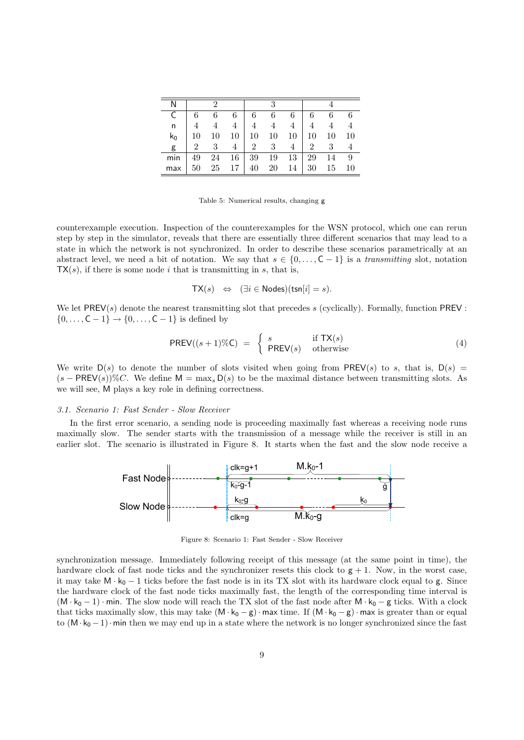|       |    | ິ  |    |    | 3  |    |    |    |    |
|-------|----|----|----|----|----|----|----|----|----|
| C     | 6  | 6  | 6  | 6  | 6  | 6  | 6  | 6  |    |
| n     |    |    |    |    |    |    |    |    |    |
| $k_0$ | 10 | 10 | 10 | 10 | 10 | 10 | 10 | 10 | 10 |
| g     | 2  | 3  |    | 2  | 3  |    | 2  | 3  |    |
| min   | 49 | 24 | 16 | 39 | 19 | 13 | 29 | 14 | 9  |
| max   | 50 | 25 | 17 | 40 | 20 | 14 | 30 | 15 | 10 |

Table 5: Numerical results, changing g

counterexample execution. Inspection of the counterexamples for the WSN protocol, which one can rerun step by step in the simulator, reveals that there are essentially three different scenarios that may lead to a state in which the network is not synchronized. In order to describe these scenarios parametrically at an abstract level, we need a bit of notation. We say that  $s \in \{0, \ldots, C-1\}$  is a transmitting slot, notation  $TX(s)$ , if there is some node i that is transmitting in s, that is,

$$
\mathsf{TX}(s) \;\; \Leftrightarrow \;\; (\exists i \in \mathsf{Nodes})(\mathsf{tsn}[i] = s).
$$

We let  $PREV(s)$  denote the nearest transmitting slot that precedes s (cyclically). Formally, function PREV :  $\{0, \ldots, C-1\} \to \{0, \ldots, C-1\}$  is defined by

$$
PREV((s+1)\%C) = \begin{cases} s & \text{if } TX(s) \\ PREV(s) & \text{otherwise} \end{cases}
$$
(4)

We write  $D(s)$  to denote the number of slots visited when going from PREV(s) to s, that is,  $D(s)$  =  $(s - \text{PREV}(s))\%C$ . We define  $M = \max_{s} D(s)$  to be the maximal distance between transmitting slots. As we will see, M plays a key role in defining correctness.

## 3.1. Scenario 1: Fast Sender - Slow Receiver

In the first error scenario, a sending node is proceeding maximally fast whereas a receiving node runs maximally slow. The sender starts with the transmission of a message while the receiver is still in an earlier slot. The scenario is illustrated in Figure 8. It starts when the fast and the slow node receive a



Figure 8: Scenario 1: Fast Sender - Slow Receiver

synchronization message. Immediately following receipt of this message (at the same point in time), the hardware clock of fast node ticks and the synchronizer resets this clock to  $g + 1$ . Now, in the worst case, it may take  $M \cdot k_0 - 1$  ticks before the fast node is in its TX slot with its hardware clock equal to g. Since the hardware clock of the fast node ticks maximally fast, the length of the corresponding time interval is  $(M \cdot k_0 - 1) \cdot$  min. The slow node will reach the TX slot of the fast node after  $M \cdot k_0 - g$  ticks. With a clock that ticks maximally slow, this may take  $(M \cdot k_0 - g) \cdot max$  time. If  $(M \cdot k_0 - g) \cdot max$  is greater than or equal to  $(M \cdot k_0 - 1) \cdot$  min then we may end up in a state where the network is no longer synchronized since the fast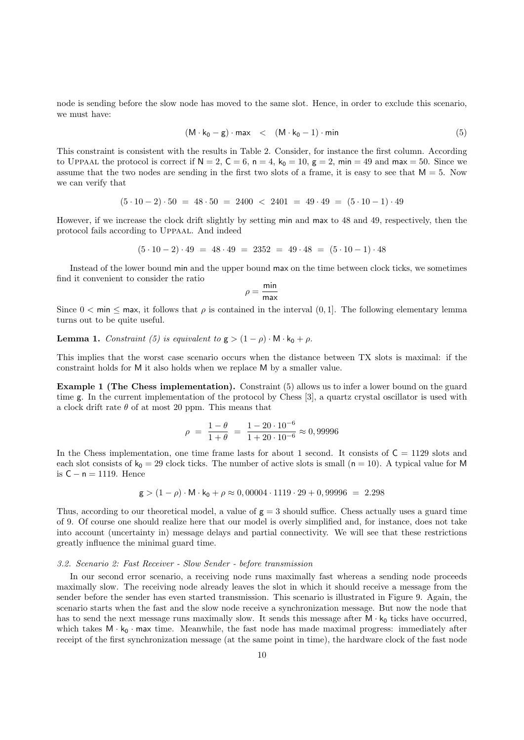node is sending before the slow node has moved to the same slot. Hence, in order to exclude this scenario, we must have:

$$
(M \cdot k_0 - g) \cdot max \quad < \quad (M \cdot k_0 - 1) \cdot min \tag{5}
$$

This constraint is consistent with the results in Table 2. Consider, for instance the first column. According to UPPAAL the protocol is correct if  $N = 2$ ,  $C = 6$ ,  $n = 4$ ,  $k_0 = 10$ ,  $g = 2$ ,  $\min = 49$  and  $\max = 50$ . Since we assume that the two nodes are sending in the first two slots of a frame, it is easy to see that  $M = 5$ . Now we can verify that

$$
(5 \cdot 10 - 2) \cdot 50 = 48 \cdot 50 = 2400 < 2401 = 49 \cdot 49 = (5 \cdot 10 - 1) \cdot 49
$$

However, if we increase the clock drift slightly by setting min and max to 48 and 49, respectively, then the protocol fails according to Uppaal. And indeed

$$
(5 \cdot 10 - 2) \cdot 49 = 48 \cdot 49 = 2352 = 49 \cdot 48 = (5 \cdot 10 - 1) \cdot 48
$$

Instead of the lower bound min and the upper bound max on the time between clock ticks, we sometimes find it convenient to consider the ratio

$$
\rho = \frac{\min}{\max}
$$

Since  $0 < \min \leq \max$ , it follows that  $\rho$  is contained in the interval  $(0, 1]$ . The following elementary lemma turns out to be quite useful.

**Lemma 1.** Constraint (5) is equivalent to  $g > (1 - \rho) \cdot M \cdot k_0 + \rho$ .

This implies that the worst case scenario occurs when the distance between TX slots is maximal: if the constraint holds for M it also holds when we replace M by a smaller value.

Example 1 (The Chess implementation). Constraint (5) allows us to infer a lower bound on the guard time g. In the current implementation of the protocol by Chess [3], a quartz crystal oscillator is used with a clock drift rate  $\theta$  of at most 20 ppm. This means that

$$
\rho = \frac{1 - \theta}{1 + \theta} = \frac{1 - 20 \cdot 10^{-6}}{1 + 20 \cdot 10^{-6}} \approx 0,99996
$$

In the Chess implementation, one time frame lasts for about 1 second. It consists of  $C = 1129$  slots and each slot consists of  $k_0 = 29$  clock ticks. The number of active slots is small  $(n = 10)$ . A typical value for M is  $C - n = 1119$ . Hence

$$
\mathsf{g} > (1-\rho) \cdot \mathsf{M} \cdot \mathsf{k}_0 + \rho \approx 0,00004 \cdot 1119 \cdot 29 + 0,99996 = 2.298
$$

Thus, according to our theoretical model, a value of  $g = 3$  should suffice. Chess actually uses a guard time of 9. Of course one should realize here that our model is overly simplified and, for instance, does not take into account (uncertainty in) message delays and partial connectivity. We will see that these restrictions greatly influence the minimal guard time.

#### 3.2. Scenario 2: Fast Receiver - Slow Sender - before transmission

In our second error scenario, a receiving node runs maximally fast whereas a sending node proceeds maximally slow. The receiving node already leaves the slot in which it should receive a message from the sender before the sender has even started transmission. This scenario is illustrated in Figure 9. Again, the scenario starts when the fast and the slow node receive a synchronization message. But now the node that has to send the next message runs maximally slow. It sends this message after  $M \cdot k_0$  ticks have occurred, which takes  $M \cdot k_0 \cdot \text{max time}$ . Meanwhile, the fast node has made maximal progress: immediately after receipt of the first synchronization message (at the same point in time), the hardware clock of the fast node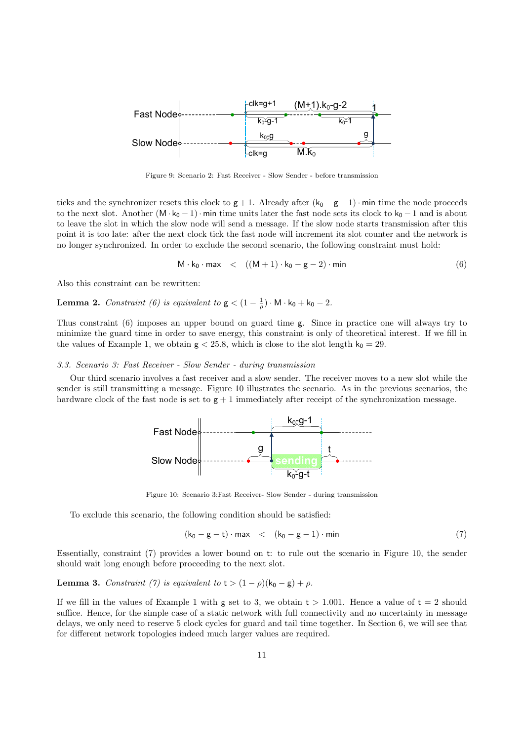

Figure 9: Scenario 2: Fast Receiver - Slow Sender - before transmission

ticks and the synchronizer resets this clock to  $g + 1$ . Already after  $(k_0 - g - 1) \cdot \text{min}$  time the node proceeds to the next slot. Another  $(M \cdot k_0 - 1) \cdot \text{min}$  time units later the fast node sets its clock to  $k_0 - 1$  and is about to leave the slot in which the slow node will send a message. If the slow node starts transmission after this point it is too late: after the next clock tick the fast node will increment its slot counter and the network is no longer synchronized. In order to exclude the second scenario, the following constraint must hold:

$$
M \cdot k_0 \cdot \max \quad < \quad ((M+1) \cdot k_0 - g - 2) \cdot \min \tag{6}
$$

Also this constraint can be rewritten:

**Lemma 2.** Constraint (6) is equivalent to  $g < (1 - \frac{1}{\rho}) \cdot M \cdot k_0 + k_0 - 2$ .

Thus constraint (6) imposes an upper bound on guard time g. Since in practice one will always try to minimize the guard time in order to save energy, this constraint is only of theoretical interest. If we fill in the values of Example 1, we obtain  $g < 25.8$ , which is close to the slot length  $k_0 = 29$ .

## 3.3. Scenario 3: Fast Receiver - Slow Sender - during transmission

Our third scenario involves a fast receiver and a slow sender. The receiver moves to a new slot while the sender is still transmitting a message. Figure 10 illustrates the scenario. As in the previous scenarios, the hardware clock of the fast node is set to  $g + 1$  immediately after receipt of the synchronization message.



Figure 10: Scenario 3:Fast Receiver- Slow Sender - during transmission

To exclude this scenario, the following condition should be satisfied:

$$
(k_0 - g - t) \cdot \max \quad < \quad (k_0 - g - 1) \cdot \min \tag{7}
$$

Essentially, constraint (7) provides a lower bound on t: to rule out the scenario in Figure 10, the sender should wait long enough before proceeding to the next slot.

## **Lemma 3.** Constraint (7) is equivalent to  $t > (1 - \rho)(k_0 - g) + \rho$ .

If we fill in the values of Example 1 with g set to 3, we obtain  $t > 1.001$ . Hence a value of  $t = 2$  should suffice. Hence, for the simple case of a static network with full connectivity and no uncertainty in message delays, we only need to reserve 5 clock cycles for guard and tail time together. In Section 6, we will see that for different network topologies indeed much larger values are required.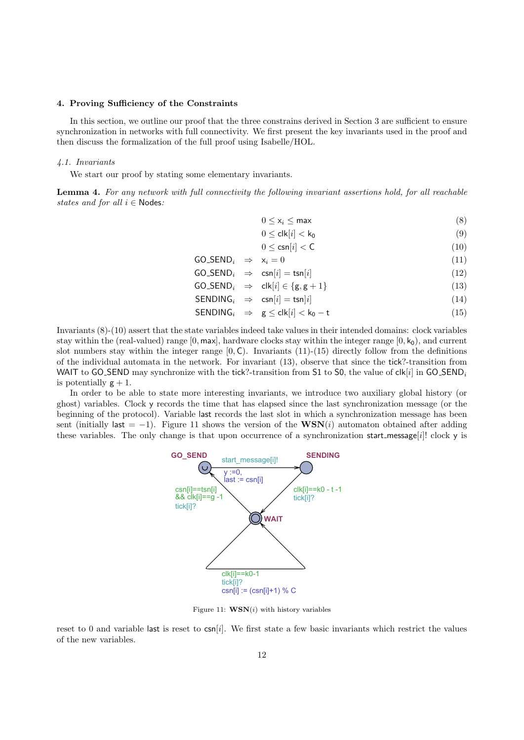## 4. Proving Sufficiency of the Constraints

In this section, we outline our proof that the three constrains derived in Section 3 are sufficient to ensure synchronization in networks with full connectivity. We first present the key invariants used in the proof and then discuss the formalization of the full proof using Isabelle/HOL.

#### 4.1. Invariants

We start our proof by stating some elementary invariants.

Lemma 4. For any network with full connectivity the following invariant assertions hold, for all reachable states and for all  $i \in$  Nodes:

$$
0 \le x_i \le \max \tag{8}
$$

 $0 \leq \mathsf{clk}[i] < \mathsf{k_0}$  (9)

$$
0 \le \operatorname{csn}[i] < \mathsf{C} \tag{10}
$$

$$
GO\_SEND_i \Rightarrow x_i = 0
$$
\n
$$
GO\_SEND_i \Rightarrow \operatorname{csn}[i] = \operatorname{tsn}[i]
$$
\n(11)\n(12)

$$
GOSEND_{i} \Rightarrow \text{clk}[i] \in \{\text{g}, \text{g} + 1\}
$$
\n(13)

$$
SENDING_i \quad \Rightarrow \quad \mathsf{csn}[i] = \mathsf{tsn}[i] \tag{14}
$$

$$
SENDING_i \Rightarrow g \leq cIk[i] < k_0 - t \tag{15}
$$

Invariants (8)-(10) assert that the state variables indeed take values in their intended domains: clock variables stay within the (real-valued) range  $[0, \text{max}]$ , hardware clocks stay within the integer range  $[0, k_0)$ , and current slot numbers stay within the integer range  $[0, \mathsf{C})$ . Invariants (11)-(15) directly follow from the definitions of the individual automata in the network. For invariant (13), observe that since the tick?-transition from WAIT to GO\_SEND may synchronize with the tick?-transition from S1 to S0, the value of  $\text{clk}[i]$  in GO\_SEND, is potentially  $g + 1$ .

In order to be able to state more interesting invariants, we introduce two auxiliary global history (or ghost) variables. Clock y records the time that has elapsed since the last synchronization message (or the beginning of the protocol). Variable last records the last slot in which a synchronization message has been sent (initially last = -1). Figure 11 shows the version of the  $WSN(i)$  automaton obtained after adding these variables. The only change is that upon occurrence of a synchronization start message[ $i$ ]! clock y is



Figure 11:  $\mathbf{WSN}(i)$  with history variables

reset to 0 and variable last is reset to  $\text{csn}[i]$ . We first state a few basic invariants which restrict the values of the new variables.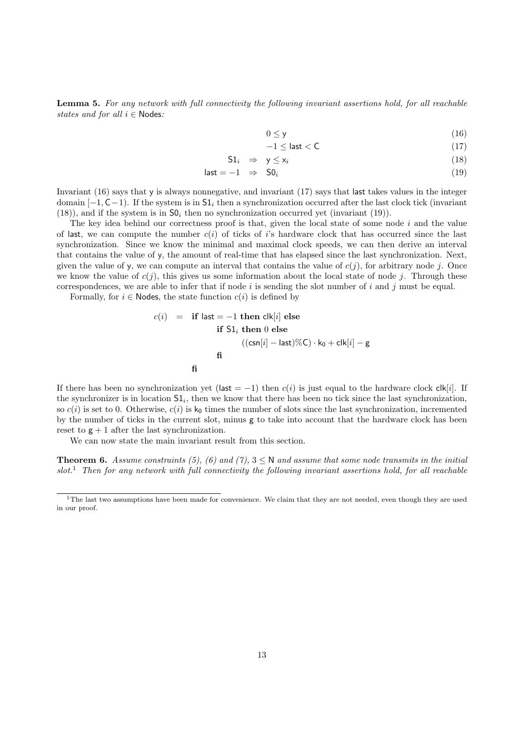Lemma 5. For any network with full connectivity the following invariant assertions hold, for all reachable states and for all  $i \in$  Nodes:

$$
0 \le y \tag{16}
$$

$$
-1 \leq \mathsf{last} < \mathsf{C} \tag{17}
$$

$$
\mathsf{S1}_i \quad \Rightarrow \quad \mathsf{y} \le \mathsf{x}_i \tag{18}
$$

$$
last = -1 \Rightarrow SO_i \tag{19}
$$

Invariant (16) says that y is always nonnegative, and invariant (17) says that last takes values in the integer domain  $[-1, \mathsf{C}-1)$ . If the system is in  $\mathsf{S}1_i$  then a synchronization occurred after the last clock tick (invariant (18)), and if the system is in  $\mathsf{SO}_i$  then no synchronization occurred yet (invariant (19)).

The key idea behind our correctness proof is that, given the local state of some node i and the value of last, we can compute the number  $c(i)$  of ticks of is hardware clock that has occurred since the last synchronization. Since we know the minimal and maximal clock speeds, we can then derive an interval that contains the value of y, the amount of real-time that has elapsed since the last synchronization. Next, given the value of y, we can compute an interval that contains the value of  $c(j)$ , for arbitrary node j. Once we know the value of  $c(i)$ , this gives us some information about the local state of node i. Through these correspondences, we are able to infer that if node  $i$  is sending the slot number of  $i$  and  $j$  must be equal.

Formally, for  $i \in \text{Nodes}$ , the state function  $c(i)$  is defined by

$$
c(i) = \text{if } \textsf{last} = -1 \text{ then } \textsf{clk}[i] \text{ else}
$$
\n
$$
\text{if } \textsf{S1}_i \text{ then } 0 \text{ else}
$$
\n
$$
((\textsf{csn}[i] - \textsf{last})\% \textsf{C}) \cdot \textsf{k}_0 + \textsf{clk}[i] - g
$$
\n
$$
\text{fi}
$$

If there has been no synchronization yet (last = -1) then  $c(i)$  is just equal to the hardware clock clk[i]. If the synchronizer is in location  $S1<sub>i</sub>$ , then we know that there has been no tick since the last synchronization, so  $c(i)$  is set to 0. Otherwise,  $c(i)$  is  $\mathsf{k}_0$  times the number of slots since the last synchronization, incremented by the number of ticks in the current slot, minus g to take into account that the hardware clock has been reset to  $g + 1$  after the last synchronization.

We can now state the main invariant result from this section.

**Theorem 6.** Assume constraints (5), (6) and (7),  $3 \leq N$  and assume that some node transmits in the initial  $slot<sup>1</sup>$ . Then for any network with full connectivity the following invariant assertions hold, for all reachable

<sup>&</sup>lt;sup>1</sup>The last two assumptions have been made for convenience. We claim that they are not needed, even though they are used in our proof.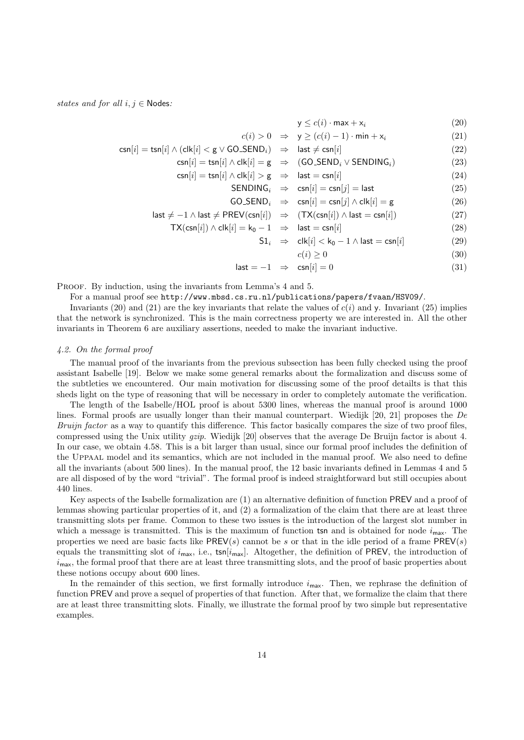states and for all  $i, j \in$  Nodes:

$$
y \le c(i) \cdot \max + x_i \tag{20}
$$

$$
c(i) > 0 \Rightarrow y \ge (c(i) - 1) \cdot \min + x_i \tag{21}
$$
  
\n
$$
\text{csn}[i] = \text{tsn}[i] \land (\text{clk}[i] < g \lor \text{GO\_SEND}_i) \Rightarrow \text{last} \ne \text{csn}[i] \tag{22}
$$
  
\n
$$
\text{csn}[i] = \text{tsn}[i] \land \text{clk}[i] = g \Rightarrow (\text{GO\_SEND}_i \lor \text{SENDING}_i) \tag{23}
$$
  
\n
$$
\text{csn}[i] = \text{tsn}[i] \land \text{clk}[i] > g \Rightarrow \text{last} = \text{csn}[i] \tag{24}
$$

$$
SENDING_i \Rightarrow \operatorname{csn}[i] = \operatorname{csn}[j] = \operatorname{last} \tag{25}
$$

$$
GO\_SEND_i \quad \Rightarrow \quad \text{csn}[i] = \text{csn}[j] \land \text{clk}[i] = g \tag{26}
$$

$$
\mathsf{last} \neq -1 \land \mathsf{last} \neq \mathsf{PREV}(\mathsf{csn}[i]) \Rightarrow (\mathsf{TX}(\mathsf{csn}[i]) \land \mathsf{last} = \mathsf{csn}[i]) \tag{27}
$$

$$
TX(\text{csn}[i]) \wedge \text{clk}[i] = k_0 - 1 \quad \Rightarrow \quad \text{last} = \text{csn}[i] \tag{28}
$$

$$
\mathsf{S1}_i \quad \Rightarrow \quad \mathsf{clk}[i] < \mathsf{k_0} - 1 \land \mathsf{last} = \mathsf{csn}[i] \tag{29}
$$

$$
c(i) \ge 0 \tag{30}
$$

$$
\mathsf{last} = -1 \quad \Rightarrow \quad \mathsf{csn}[i] = 0 \tag{31}
$$

PROOF. By induction, using the invariants from Lemma's 4 and 5.

For a manual proof see http://www.mbsd.cs.ru.nl/publications/papers/fvaan/HSV09/.

Invariants (20) and (21) are the key invariants that relate the values of  $c(i)$  and y. Invariant (25) implies that the network is synchronized. This is the main correctness property we are interested in. All the other invariants in Theorem 6 are auxiliary assertions, needed to make the invariant inductive.

## 4.2. On the formal proof

The manual proof of the invariants from the previous subsection has been fully checked using the proof assistant Isabelle [19]. Below we make some general remarks about the formalization and discuss some of the subtleties we encountered. Our main motivation for discussing some of the proof detailts is that this sheds light on the type of reasoning that will be necessary in order to completely automate the verification.

The length of the Isabelle/HOL proof is about 5300 lines, whereas the manual proof is around 1000 lines. Formal proofs are usually longer than their manual counterpart. Wiedijk [20, 21] proposes the De Bruijn factor as a way to quantify this difference. This factor basically compares the size of two proof files, compressed using the Unix utility gzip. Wiedijk [20] observes that the average De Bruijn factor is about 4. In our case, we obtain 4.58. This is a bit larger than usual, since our formal proof includes the definition of the Uppaal model and its semantics, which are not included in the manual proof. We also need to define all the invariants (about 500 lines). In the manual proof, the 12 basic invariants defined in Lemmas 4 and 5 are all disposed of by the word "trivial". The formal proof is indeed straightforward but still occupies about 440 lines.

Key aspects of the Isabelle formalization are (1) an alternative definition of function PREV and a proof of lemmas showing particular properties of it, and (2) a formalization of the claim that there are at least three transmitting slots per frame. Common to these two issues is the introduction of the largest slot number in which a message is transmitted. This is the maximum of function tsn and is obtained for node  $i_{\text{max}}$ . The properties we need are basic facts like PREV(s) cannot be s or that in the idle period of a frame PREV(s) equals the transmitting slot of  $i_{\text{max}}$ , i.e.,  $\text{tsn}[i_{\text{max}}]$ . Altogether, the definition of PREV, the introduction of  $i_{\text{max}}$ , the formal proof that there are at least three transmitting slots, and the proof of basic properties about these notions occupy about 600 lines.

In the remainder of this section, we first formally introduce  $i_{\text{max}}$ . Then, we rephrase the definition of function PREV and prove a sequel of properties of that function. After that, we formalize the claim that there are at least three transmitting slots. Finally, we illustrate the formal proof by two simple but representative examples.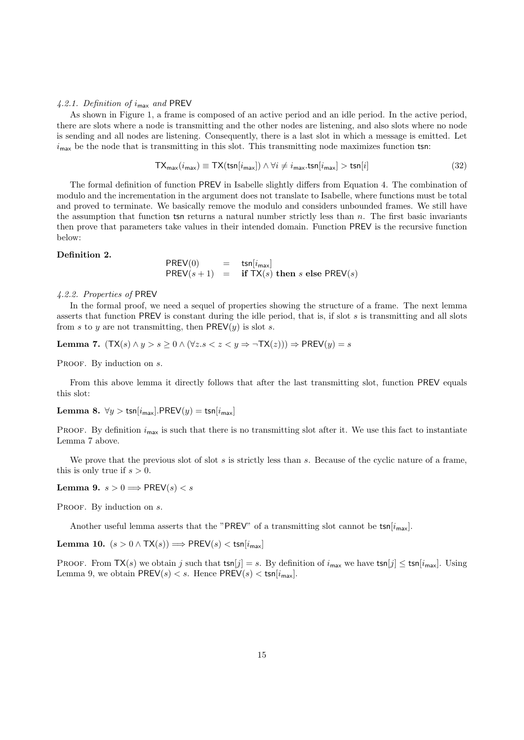## 4.2.1. Definition of  $i_{\text{max}}$  and PREV

As shown in Figure 1, a frame is composed of an active period and an idle period. In the active period, there are slots where a node is transmitting and the other nodes are listening, and also slots where no node is sending and all nodes are listening. Consequently, there is a last slot in which a message is emitted. Let  $i_{\text{max}}$  be the node that is transmitting in this slot. This transmitting node maximizes function tsn:

$$
TX_{\text{max}}(i_{\text{max}}) \equiv TX(\text{tsn}[i_{\text{max}}]) \land \forall i \neq i_{\text{max}}.\text{tsn}[i_{\text{max}}] > \text{tsn}[i]
$$
\n(32)

The formal definition of function PREV in Isabelle slightly differs from Equation 4. The combination of modulo and the incrementation in the argument does not translate to Isabelle, where functions must be total and proved to terminate. We basically remove the modulo and considers unbounded frames. We still have the assumption that function tsn returns a natural number strictly less than  $n$ . The first basic invariants then prove that parameters take values in their intended domain. Function PREV is the recursive function below:

## Definition 2.

$$
PREV(0) = \text{tsn}[i_{\text{max}}]
$$
  
PREV(s+1) = \text{if TX}(s) then s else PREV(s)

## 4.2.2. Properties of PREV

In the formal proof, we need a sequel of properties showing the structure of a frame. The next lemma asserts that function PREV is constant during the idle period, that is, if slot  $s$  is transmitting and all slots from s to y are not transmitting, then PREV $(y)$  is slot s.

Lemma 7.  $(TX(s) \land y > s \geq 0 \land (\forall z.s < z < y \Rightarrow \neg TX(z))) \Rightarrow PREV(y) = s$ 

PROOF. By induction on s.

From this above lemma it directly follows that after the last transmitting slot, function PREV equals this slot:

Lemma 8.  $\forall y > \text{tsn}[i_{\text{max}}]$ .PREV $(y) = \text{tsn}[i_{\text{max}}]$ 

PROOF. By definition  $i_{\text{max}}$  is such that there is no transmitting slot after it. We use this fact to instantiate Lemma 7 above.

We prove that the previous slot of slot  $s$  is strictly less than  $s$ . Because of the cyclic nature of a frame, this is only true if  $s > 0$ .

Lemma 9.  $s > 0 \Longrightarrow$  PREV $(s) < s$ 

PROOF. By induction on s.

Another useful lemma asserts that the "PREV" of a transmitting slot cannot be  $\text{tsn}[i_{\text{max}}]$ .

Lemma 10.  $(s > 0 \land TX(s)) \Longrightarrow PREV(s) < \text{tsn}[i_{\text{max}}]$ 

PROOF. From  $TX(s)$  we obtain j such that  $tsn[j] = s$ . By definition of  $i_{\text{max}}$  we have  $tsn[j] \leq tsn[i_{\text{max}}]$ . Using Lemma 9, we obtain PREV(s)  $\lt s$ . Hence PREV(s)  $\lt \text{tsn}[i_{\text{max}}]$ .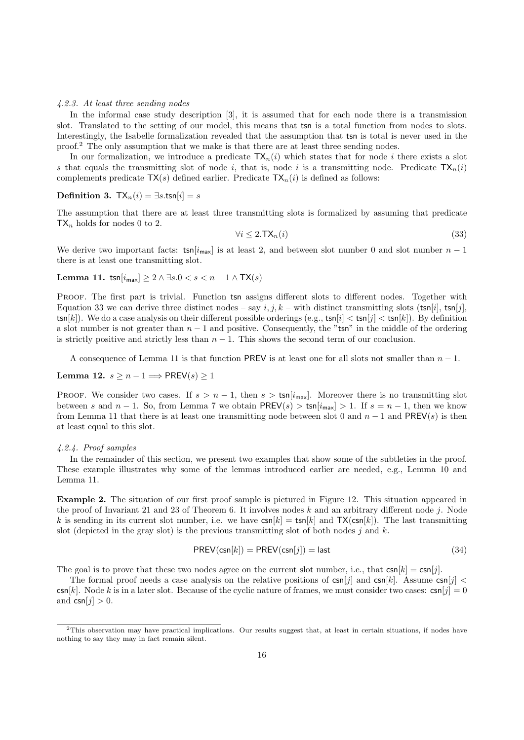#### 4.2.3. At least three sending nodes

In the informal case study description [3], it is assumed that for each node there is a transmission slot. Translated to the setting of our model, this means that tsn is a total function from nodes to slots. Interestingly, the Isabelle formalization revealed that the assumption that tsn is total is never used in the proof.<sup>2</sup> The only assumption that we make is that there are at least three sending nodes.

In our formalization, we introduce a predicate  $TX_n(i)$  which states that for node i there exists a slot s that equals the transmitting slot of node i, that is, node i is a transmitting node. Predicate  $TX_n(i)$ complements predicate  $TX(s)$  defined earlier. Predicate  $TX_n(i)$  is defined as follows:

## Definition 3.  $TX_n(i) = \exists s.tsn[i] = s$

The assumption that there are at least three transmitting slots is formalized by assuming that predicate  $TX_n$  holds for nodes 0 to 2.

$$
\forall i \le 2. \mathsf{TX}_n(i) \tag{33}
$$

We derive two important facts: tsn[ $i_{\text{max}}$ ] is at least 2, and between slot number 0 and slot number  $n-1$ there is at least one transmitting slot.

**Lemma 11.** 
$$
tsn[i_{\text{max}}] \geq 2 \land \exists s. 0 < s < n - 1 \land \text{TX}(s)
$$

PROOF. The first part is trivial. Function tsn assigns different slots to different nodes. Together with Equation 33 we can derive three distinct nodes – say  $i, j, k$  – with distinct transmitting slots (tsn[i], tsn[j], tsn[k]). We do a case analysis on their different possible orderings (e.g.,  $\text{tsn}[i] < \text{tsn}[j] < \text{tsn}[k]$ ). By definition a slot number is not greater than  $n-1$  and positive. Consequently, the "tsn" in the middle of the ordering is strictly positive and strictly less than  $n - 1$ . This shows the second term of our conclusion.

A consequence of Lemma 11 is that function PREV is at least one for all slots not smaller than  $n-1$ .

## Lemma 12.  $s \ge n - 1$  ⇒ PREV $(s) \ge 1$

PROOF. We consider two cases. If  $s > n - 1$ , then  $s > \text{tsn}[i_{\text{max}}]$ . Moreover there is no transmitting slot between s and  $n-1$ . So, from Lemma 7 we obtain PREV(s) > tsn[i<sub>max</sub>] > 1. If  $s = n-1$ , then we know from Lemma 11 that there is at least one transmitting node between slot 0 and  $n-1$  and PREV(s) is then at least equal to this slot.

#### 4.2.4. Proof samples

In the remainder of this section, we present two examples that show some of the subtleties in the proof. These example illustrates why some of the lemmas introduced earlier are needed, e.g., Lemma 10 and Lemma 11.

Example 2. The situation of our first proof sample is pictured in Figure 12. This situation appeared in the proof of Invariant 21 and 23 of Theorem 6. It involves nodes  $k$  and an arbitrary different node j. Node k is sending in its current slot number, i.e. we have  $csn[k] = tsn[k]$  and  $TX(csn[k])$ . The last transmitting slot (depicted in the gray slot) is the previous transmitting slot of both nodes  $j$  and  $k$ .

$$
PREV(\text{csn}[k]) = PREV(\text{csn}[j]) = \text{last} \tag{34}
$$

The goal is to prove that these two nodes agree on the current slot number, i.e., that  $\text{csn}[k] = \text{csn}[i]$ .

The formal proof needs a case analysis on the relative positions of  $\text{csn}[i]$  and  $\text{csn}[k]$ . Assume  $\text{csn}[i]$  <  $\cosh[k]$ . Node k is in a later slot. Because of the cyclic nature of frames, we must consider two cases:  $\cosh[j] = 0$ and  $\textsf{csn}[j] > 0$ .

<sup>&</sup>lt;sup>2</sup>This observation may have practical implications. Our results suggest that, at least in certain situations, if nodes have nothing to say they may in fact remain silent.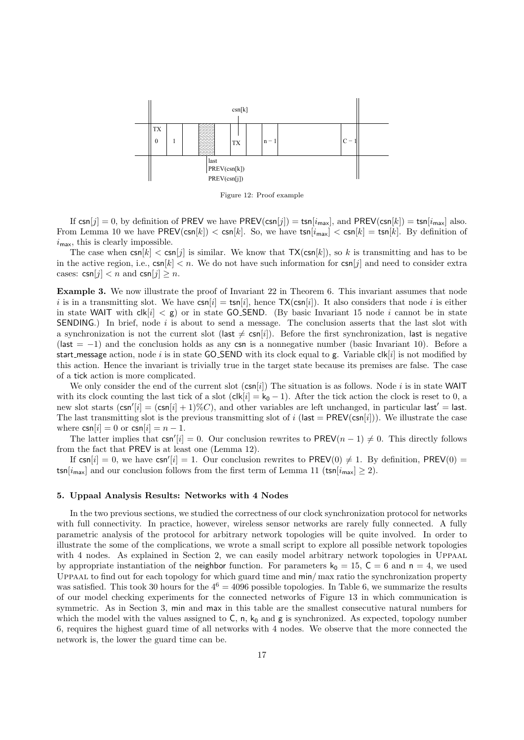

Figure 12: Proof example

If  $csn[j] = 0$ , by definition of PREV we have  $PREV(csn[j]) = tsn[i_{max}]$ , and  $PREV(csn[k]) = tsn[i_{max}]$  also. From Lemma 10 we have  $\mathsf{PREV}(\mathsf{csn}[k]) < \mathsf{csn}[k]$ . So, we have  $\mathsf{tsn}[i_{\mathsf{max}}] < \mathsf{csn}[k] = \mathsf{tsn}[k]$ . By definition of  $i_{\text{max}}$ , this is clearly impossible.

The case when  $\text{csn}[k] < \text{csn}[j]$  is similar. We know that  $\text{TX}(\text{csn}[k])$ , so k is transmitting and has to be in the active region, i.e.,  $\cosh[k] < n$ . We do not have such information for  $\cosh[j]$  and need to consider extra cases:  $\textsf{csn}[j] < n$  and  $\textsf{csn}[j] \geq n$ .

Example 3. We now illustrate the proof of Invariant 22 in Theorem 6. This invariant assumes that node i is in a transmitting slot. We have  $csn[i] = tsn[i]$ , hence  $TX(csn[i])$ . It also considers that node i is either in state WAIT with  $\mathsf{clk}[i] < \mathsf{g}$ ) or in state GO\_SEND. (By basic Invariant 15 node i cannot be in state **SENDING.**) In brief, node i is about to send a message. The conclusion asserts that the last slot with a synchronization is not the current slot (last  $\neq$  csn[i]). Before the first synchronization, last is negative (last  $= -1$ ) and the conclusion holds as any csn is a nonnegative number (basic Invariant 10). Before a start message action, node i is in state GO SEND with its clock equal to g. Variable clk[i] is not modified by this action. Hence the invariant is trivially true in the target state because its premises are false. The case of a tick action is more complicated.

We only consider the end of the current slot (csn[i]) The situation is as follows. Node i is in state WAIT with its clock counting the last tick of a slot (clk[i] = k<sub>0</sub> - 1). After the tick action the clock is reset to 0, a new slot starts  $(\text{csn}'[i] = (\text{csn}[i] + 1)\%C)$ , and other variables are left unchanged, in particular last' = last. The last transmitting slot is the previous transmitting slot of i (last = PREV(csn[i])). We illustrate the case where  $\textsf{csn}[i] = 0$  or  $\textsf{csn}[i] = n - 1$ .

The latter implies that  $\text{csn}'[i] = 0$ . Our conclusion rewrites to PREV $(n-1) \neq 0$ . This directly follows from the fact that PREV is at least one (Lemma 12).

If  $csn[i] = 0$ , we have  $csn'[i] = 1$ . Our conclusion rewrites to PREV(0)  $\neq$  1. By definition, PREV(0) =  $\text{tsn}[i_{\text{max}}]$  and our conclusion follows from the first term of Lemma 11 ( $\text{tsn}[i_{\text{max}}] \geq 2$ ).

## 5. Uppaal Analysis Results: Networks with 4 Nodes

In the two previous sections, we studied the correctness of our clock synchronization protocol for networks with full connectivity. In practice, however, wireless sensor networks are rarely fully connected. A fully parametric analysis of the protocol for arbitrary network topologies will be quite involved. In order to illustrate the some of the complications, we wrote a small script to explore all possible network topologies with 4 nodes. As explained in Section 2, we can easily model arbitrary network topologies in UPPAAL by appropriate instantiation of the neighbor function. For parameters  $k_0 = 15$ ,  $C = 6$  and  $n = 4$ , we used Uppaal to find out for each topology for which guard time and min/ max ratio the synchronization property was satisfied. This took 30 hours for the  $4^6 = 4096$  possible topologies. In Table 6, we summarize the results of our model checking experiments for the connected networks of Figure 13 in which communication is symmetric. As in Section 3, min and max in this table are the smallest consecutive natural numbers for which the model with the values assigned to  $C$ , n,  $k_0$  and g is synchronized. As expected, topology number 6, requires the highest guard time of all networks with 4 nodes. We observe that the more connected the network is, the lower the guard time can be.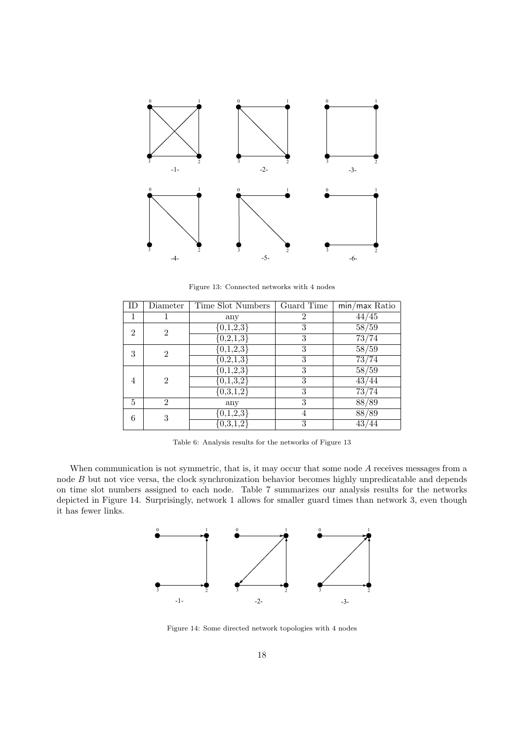

Figure 13: Connected networks with 4 nodes

| ID | Diameter       | Time Slot Numbers   | Guard Time | $min/max$ Ratio |
|----|----------------|---------------------|------------|-----------------|
|    |                | any                 | 2          | 44/45           |
| 2  | $\mathfrak{D}$ | ${0,1,2,3}$         | 3          | 58/59           |
|    |                | ${0,2,1,3}$         | 3          | 73/74           |
| 3  | $\overline{2}$ | ${0,1,2,3}$         | 3          | 58/59           |
|    |                | $\{0,2,1,3\}$       | 3          | 73/74           |
|    |                | ${0,1,2,3}$         | 3          | 58/59           |
| 4  | $\mathfrak{D}$ | ${0,1,3,2}$         | 3          | 43/44           |
|    |                | ${0,3,1,2}$         | 3          | 73/74           |
| 5  | $\mathfrak{D}$ | any                 | 3          | 88/89           |
| 6  | 3              | ${0,1,2,3}$         |            | 88/89           |
|    |                | $\{0,\!3,\!1,\!2\}$ | 3          | 43/44           |

Table 6: Analysis results for the networks of Figure 13

When communication is not symmetric, that is, it may occur that some node A receives messages from a node B but not vice versa, the clock synchronization behavior becomes highly unpredicatable and depends on time slot numbers assigned to each node. Table 7 summarizes our analysis results for the networks depicted in Figure 14. Surprisingly, network 1 allows for smaller guard times than network 3, even though it has fewer links.



Figure 14: Some directed network topologies with 4 nodes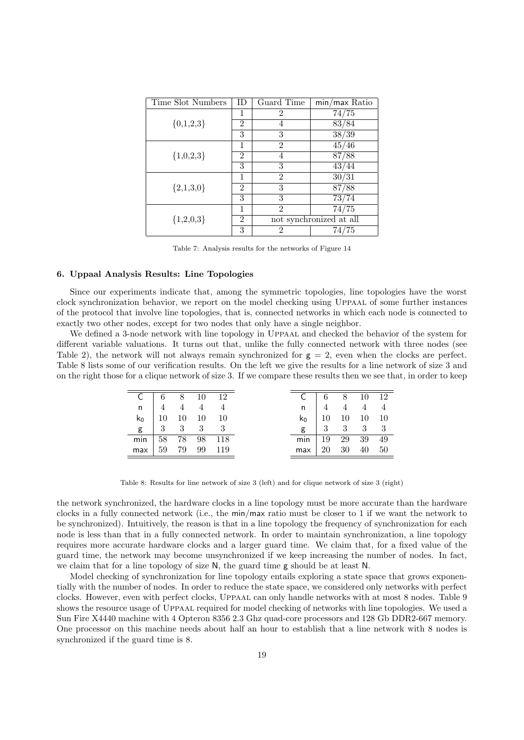| Time Slot Numbers | ΙD             | Guard Time                  | $min/max$ Ratio         |
|-------------------|----------------|-----------------------------|-------------------------|
|                   |                | 2                           | 74/75                   |
| ${0,1,2,3}$       | $\overline{2}$ | 4                           | 83/84                   |
|                   | 3              | 3                           | 38/39                   |
|                   |                | 2                           | 45/46                   |
| ${1,0,2,3}$       | $\overline{2}$ | 4                           | 87/88                   |
|                   | 3              | 3                           | 43/44                   |
|                   |                | $\overline{2}$              | 30/31                   |
| $\{2,1,3,0\}$     | $\overline{2}$ | 3                           | 87/88                   |
|                   | 3              | 3                           | 73/74                   |
|                   |                | $\mathcal{D}_{\mathcal{L}}$ | 74/75                   |
| ${1,2,0,3}$       | $\overline{2}$ |                             | not synchronized at all |
|                   | 3              | 2                           | 75<br>74,               |

Table 7: Analysis results for the networks of Figure 14

## 6. Uppaal Analysis Results: Line Topologies

Since our experiments indicate that, among the symmetric topologies, line topologies have the worst clock synchronization behavior, we report on the model checking using Uppaal of some further instances of the protocol that involve line topologies, that is, connected networks in which each node is connected to exactly two other nodes, except for two nodes that only have a single neighbor.

We defined a 3-node network with line topology in UPPAAL and checked the behavior of the system for different variable valuations. It turns out that, unlike the fully connected network with three nodes (see Table 2), the network will not always remain synchronized for  $g = 2$ , even when the clocks are perfect. Table 8 lists some of our verification results. On the left we give the results for a line network of size 3 and on the right those for a clique network of size 3. If we compare these results then we see that, in order to keep

|       |    | 8  | 10 | - 12   |     | 6  | 8  | 10 12          |      |
|-------|----|----|----|--------|-----|----|----|----------------|------|
| n     |    |    |    |        | n   |    | 4  | $\overline{4}$ |      |
| $k_0$ | 10 | 10 | 10 | - 10   | kο  | 10 | 10 | 10             | - 10 |
| g     | 3  | 3  | 3  |        | g   | 3  | 3  | 3 <sup>1</sup> | -3   |
| min   | 58 | 78 |    | 98 118 | mın | 19 | 29 | 39             | 49   |
| max   | 59 | 79 | 99 | 119    | max | 20 | 30 | 40             | 50   |

Table 8: Results for line network of size 3 (left) and for clique network of size 3 (right)

the network synchronized, the hardware clocks in a line topology must be more accurate than the hardware clocks in a fully connected network (i.e., the min/max ratio must be closer to 1 if we want the network to be synchronized). Intuitively, the reason is that in a line topology the frequency of synchronization for each node is less than that in a fully connected network. In order to maintain synchronization, a line topology requires more accurate hardware clocks and a larger guard time. We claim that, for a fixed value of the guard time, the network may become unsynchronized if we keep increasing the number of nodes. In fact, we claim that for a line topology of size N, the guard time g should be at least N.

Model checking of synchronization for line topology entails exploring a state space that grows exponentially with the number of nodes. In order to reduce the state space, we considered only networks with perfect clocks. However, even with perfect clocks, Uppaal can only handle networks with at most 8 nodes. Table 9 shows the resource usage of Uppaal required for model checking of networks with line topologies. We used a Sun Fire X4440 machine with 4 Opteron 8356 2.3 Ghz quad-core processors and 128 Gb DDR2-667 memory. One processor on this machine needs about half an hour to establish that a line network with 8 nodes is synchronized if the guard time is 8.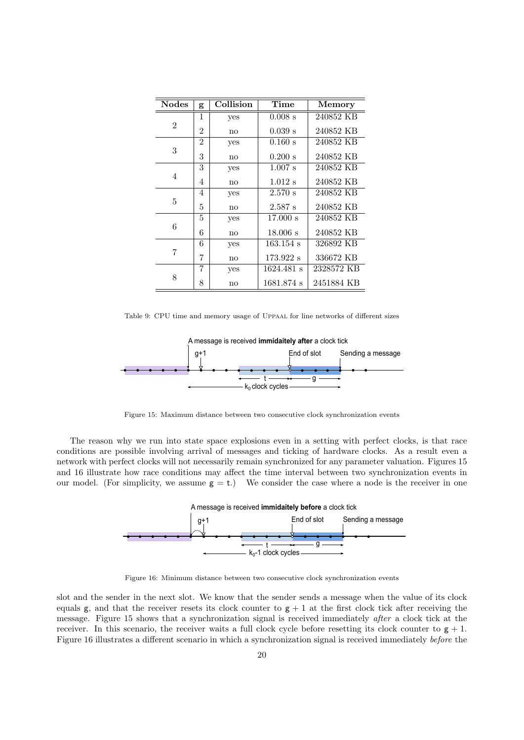| <b>Nodes</b>   | g              | Collision | Time               | Memory     |
|----------------|----------------|-----------|--------------------|------------|
|                | 1              | yes       | $0.008$ s          | 240852 KB  |
| $\overline{2}$ | $\overline{2}$ | no        | $0.039$ s          | 240852 KB  |
|                | $\overline{2}$ | yes       | $0.160$ s          | 240852 KB  |
| 3              | 3              | no        | $0.200$ s          | 240852 KB  |
|                | 3              | yes       | $1.007$ s          | 240852 KB  |
| 4              | 4              | no        | $1.012$ s          | 240852 KB  |
|                | 4              | yes       | 2.570 s            | 240852 KB  |
| 5              | 5              | no        | $2.587$ s          | 240852 KB  |
|                | 5              | yes       | $17.000 \text{ s}$ | 240852 KB  |
| 6              | 6              | no        | $18.006$ s         | 240852 KB  |
|                | 6              | yes       | $163.154$ s        | 326892 KB  |
| 7              | 7              | no        | $173.922$ s        | 336672 KB  |
|                | 7              | yes       | 1624.481 s         | 2328572 KB |
| 8              | 8              | no        | 1681.874 s         | 2451884 KB |

Table 9: CPU time and memory usage of Uppaal for line networks of different sizes



Figure 15: Maximum distance between two consecutive clock synchronization events

network with perfect clocks will not necessarily remain synchronized for any parameter valuation. Figures 15 conditions are possible involving arrival of messages and ticking of hardware clocks. As a result even a The reason why we run into state space explosions even in a setting with perfect clocks, is that race and 16 illustrate how race conditions may affect the time interval between two synchronization events in our model. (For simplicity, we assume  $g = t$ .) We consider the case where a node is the receiver in one imo interval l



Figure 16: Minimum distance between two consecutive clock synchronization events

slot and the sender in the next slot. We know that the sender sends a message when the value of its clock equals g, and that the receiver resets its clock counter to  $g + 1$  at the first clock tick after receiving the message. Figure 15 shows that a synchronization signal is received immediately after a clock tick at the receiver. In this scenario, the receiver waits a full clock cycle before resetting its clock counter to  $g + 1$ . Figure 16 illustrates a different scenario in which a synchronization signal is received immediately before the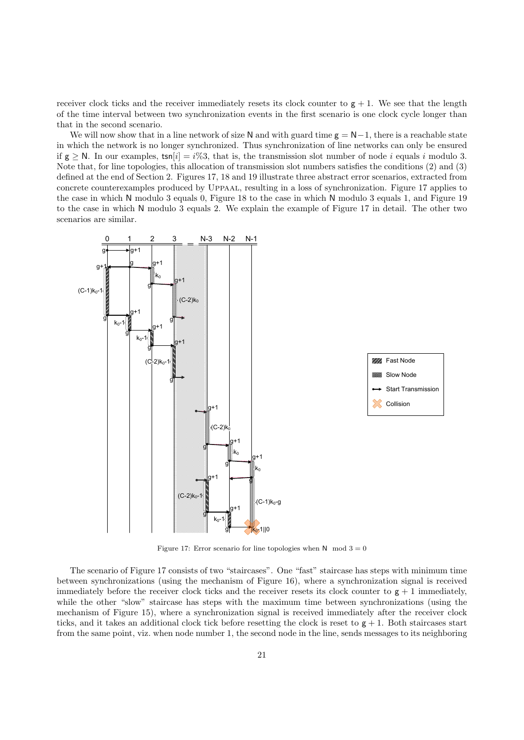receiver clock ticks and the receiver immediately resets its clock counter to  $g + 1$ . We see that the length of the time interval between two synchronization events in the first scenario is one clock cycle longer than that in the second scenario.

We will now show that in a line network of size N and with guard time  $g = N-1$ , there is a reachable state in which the network is no longer synchronized. Thus synchronization of line networks can only be ensured if  $g \ge N$ . In our examples,  $\text{tsn}[i] = i\%3$ , that is, the transmission slot number of node i equals i modulo 3. Note that, for line topologies, this allocation of transmission slot numbers satisfies the conditions (2) and (3) defined at the end of Section 2. Figures 17, 18 and 19 illustrate three abstract error scenarios, extracted from concrete counterexamples produced by Uppaal, resulting in a loss of synchronization. Figure 17 applies to the case in which N modulo 3 equals 0, Figure 18 to the case in which N modulo 3 equals 1, and Figure 19 to the case in which N modulo 3 equals 2. We explain the example of Figure 17 in detail. The other two scenarios are similar.



Figure 17: Error scenario for line topologies when N mod  $3 = 0$ 

The scenario of Figure 17 consists of two "staircases". One "fast" staircase has steps with minimum time between synchronizations (using the mechanism of Figure 16), where a synchronization signal is received immediately before the receiver clock ticks and the receiver resets its clock counter to  $g + 1$  immediately, while the other "slow" staircase has steps with the maximum time between synchronizations (using the mechanism of Figure 15), where a synchronization signal is received immediately after the receiver clock ticks, and it takes an additional clock tick before resetting the clock is reset to  $g + 1$ . Both staircases start from the same point, viz. when node number 1, the second node in the line, sends messages to its neighboring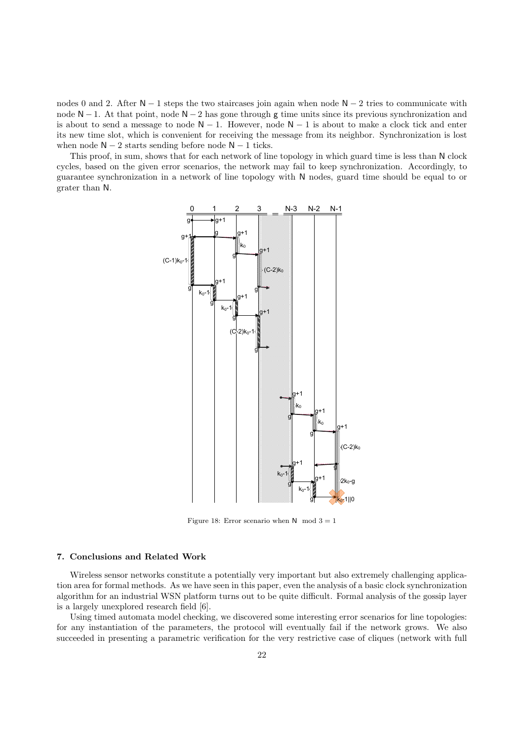nodes 0 and 2. After  $N-1$  steps the two staircases join again when node  $N-2$  tries to communicate with node N − 1. At that point, node N − 2 has gone through g time units since its previous synchronization and is about to send a message to node  $N - 1$ . However, node  $N - 1$  is about to make a clock tick and enter its new time slot, which is convenient for receiving the message from its neighbor. Synchronization is lost when node  $N - 2$  starts sending before node  $N - 1$  ticks.

This proof, in sum, shows that for each network of line topology in which guard time is less than N clock cycles, based on the given error scenarios, the network may fail to keep synchronization. Accordingly, to guarantee synchronization in a network of line topology with N nodes, guard time should be equal to or grater than N.



Figure 18: Error scenario when N mod  $3 = 1$ 

## 7. Conclusions and Related Work

Wireless sensor networks constitute a potentially very important but also extremely challenging application area for formal methods. As we have seen in this paper, even the analysis of a basic clock synchronization algorithm for an industrial WSN platform turns out to be quite difficult. Formal analysis of the gossip layer is a largely unexplored research field [6].

Using timed automata model checking, we discovered some interesting error scenarios for line topologies: for any instantiation of the parameters, the protocol will eventually fail if the network grows. We also succeeded in presenting a parametric verification for the very restrictive case of cliques (network with full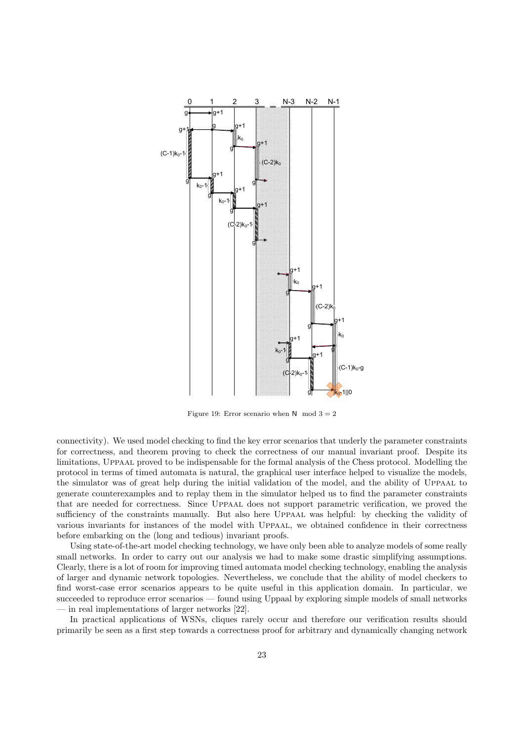

Figure 19: Error scenario when  $N \mod 3 = 2$ 

connectivity). We used model checking to find the key error scenarios that underly the parameter constraints for correctness, and theorem proving to check the correctness of our manual invariant proof. Despite its limitations, Uppaal proved to be indispensable for the formal analysis of the Chess protocol. Modelling the protocol in terms of timed automata is natural, the graphical user interface helped to visualize the models, the simulator was of great help during the initial validation of the model, and the ability of Uppaal to generate counterexamples and to replay them in the simulator helped us to find the parameter constraints that are needed for correctness. Since Uppaal does not support parametric verification, we proved the sufficiency of the constraints manually. But also here Uppaal was helpful: by checking the validity of various invariants for instances of the model with Uppaal, we obtained confidence in their correctness before embarking on the (long and tedious) invariant proofs.

Using state-of-the-art model checking technology, we have only been able to analyze models of some really small networks. In order to carry out our analysis we had to make some drastic simplifying assumptions. Clearly, there is a lot of room for improving timed automata model checking technology, enabling the analysis of larger and dynamic network topologies. Nevertheless, we conclude that the ability of model checkers to find worst-case error scenarios appears to be quite useful in this application domain. In particular, we succeeded to reproduce error scenarios — found using Uppaal by exploring simple models of small networks in real implementations of larger networks [22].

In practical applications of WSNs, cliques rarely occur and therefore our verification results should primarily be seen as a first step towards a correctness proof for arbitrary and dynamically changing network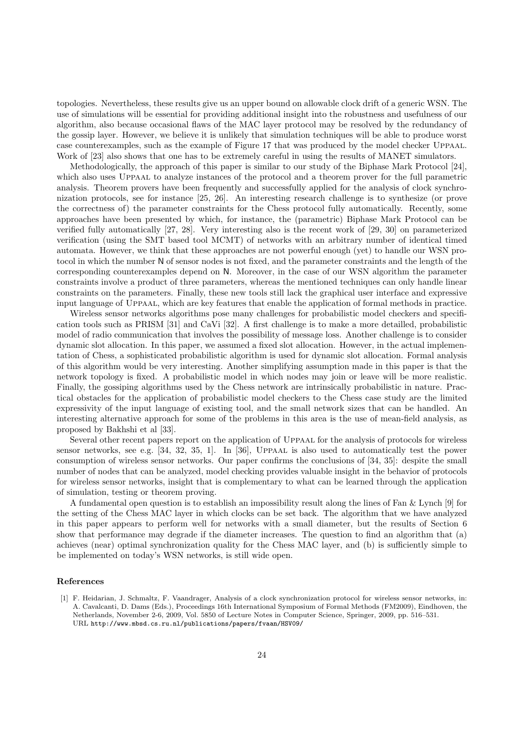topologies. Nevertheless, these results give us an upper bound on allowable clock drift of a generic WSN. The use of simulations will be essential for providing additional insight into the robustness and usefulness of our algorithm, also because occasional flaws of the MAC layer protocol may be resolved by the redundancy of the gossip layer. However, we believe it is unlikely that simulation techniques will be able to produce worst case counterexamples, such as the example of Figure 17 that was produced by the model checker Uppaal. Work of [23] also shows that one has to be extremely careful in using the results of MANET simulators.

Methodologically, the approach of this paper is similar to our study of the Biphase Mark Protocol [24], which also uses UPPAAL to analyze instances of the protocol and a theorem prover for the full parametric analysis. Theorem provers have been frequently and successfully applied for the analysis of clock synchronization protocols, see for instance [25, 26]. An interesting research challenge is to synthesize (or prove the correctness of) the parameter constraints for the Chess protocol fully automatically. Recently, some approaches have been presented by which, for instance, the (parametric) Biphase Mark Protocol can be verified fully automatically [27, 28]. Very interesting also is the recent work of [29, 30] on parameterized verification (using the SMT based tool MCMT) of networks with an arbitrary number of identical timed automata. However, we think that these approaches are not powerful enough (yet) to handle our WSN protocol in which the number N of sensor nodes is not fixed, and the parameter constraints and the length of the corresponding counterexamples depend on N. Moreover, in the case of our WSN algorithm the parameter constraints involve a product of three parameters, whereas the mentioned techniques can only handle linear constraints on the parameters. Finally, these new tools still lack the graphical user interface and expressive input language of Uppaal, which are key features that enable the application of formal methods in practice.

Wireless sensor networks algorithms pose many challenges for probabilistic model checkers and specification tools such as PRISM [31] and CaVi [32]. A first challenge is to make a more detailled, probabilistic model of radio communication that involves the possibility of message loss. Another challenge is to consider dynamic slot allocation. In this paper, we assumed a fixed slot allocation. However, in the actual implementation of Chess, a sophisticated probabilistic algorithm is used for dynamic slot allocation. Formal analysis of this algorithm would be very interesting. Another simplifying assumption made in this paper is that the network topology is fixed. A probabilistic model in which nodes may join or leave will be more realistic. Finally, the gossiping algorithms used by the Chess network are intrinsically probabilistic in nature. Practical obstacles for the application of probabilistic model checkers to the Chess case study are the limited expressivity of the input language of existing tool, and the small network sizes that can be handled. An interesting alternative approach for some of the problems in this area is the use of mean-field analysis, as proposed by Bakhshi et al [33].

Several other recent papers report on the application of Uppaal for the analysis of protocols for wireless sensor networks, see e.g. [34, 32, 35, 1]. In [36], Uppaal is also used to automatically test the power consumption of wireless sensor networks. Our paper confirms the conclusions of [34, 35]: despite the small number of nodes that can be analyzed, model checking provides valuable insight in the behavior of protocols for wireless sensor networks, insight that is complementary to what can be learned through the application of simulation, testing or theorem proving.

A fundamental open question is to establish an impossibility result along the lines of Fan & Lynch [9] for the setting of the Chess MAC layer in which clocks can be set back. The algorithm that we have analyzed in this paper appears to perform well for networks with a small diameter, but the results of Section 6 show that performance may degrade if the diameter increases. The question to find an algorithm that (a) achieves (near) optimal synchronization quality for the Chess MAC layer, and (b) is sufficiently simple to be implemented on today's WSN networks, is still wide open.

## References

<sup>[1]</sup> F. Heidarian, J. Schmaltz, F. Vaandrager, Analysis of a clock synchronization protocol for wireless sensor networks, in: A. Cavalcanti, D. Dams (Eds.), Proceedings 16th International Symposium of Formal Methods (FM2009), Eindhoven, the Netherlands, November 2-6, 2009, Vol. 5850 of Lecture Notes in Computer Science, Springer, 2009, pp. 516–531. URL http://www.mbsd.cs.ru.nl/publications/papers/fvaan/HSV09/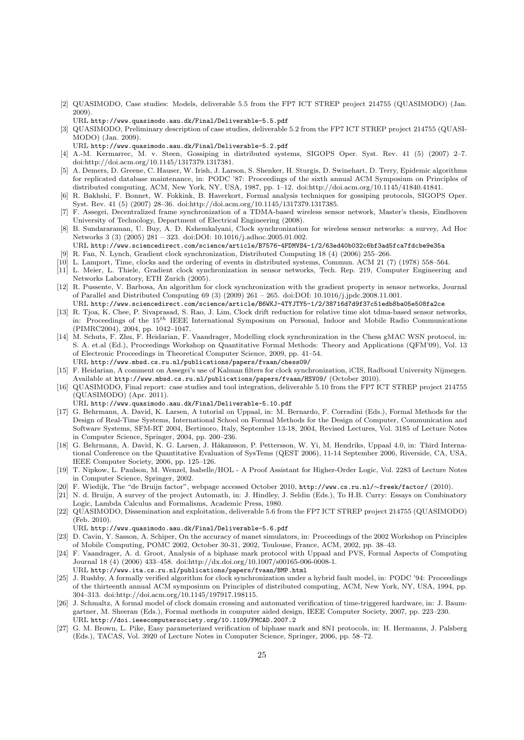- [2] QUASIMODO, Case studies: Models, deliverable 5.5 from the FP7 ICT STREP project 214755 (QUASIMODO) (Jan. 2009).
- URL http://www.quasimodo.aau.dk/Final/Deliverable-5.5.pdf
- [3] QUASIMODO, Preliminary description of case studies, deliverable 5.2 from the FP7 ICT STREP project 214755 (QUASI-MODO) (Jan. 2009).
	- URL http://www.quasimodo.aau.dk/Final/Deliverable-5.2.pdf
- [4] A.-M. Kermarrec, M. v. Steen, Gossiping in distributed systems, SIGOPS Oper. Syst. Rev. 41 (5) (2007) 2–7. doi:http://doi.acm.org/10.1145/1317379.1317381.
- [5] A. Demers, D. Greene, C. Hauser, W. Irish, J. Larson, S. Shenker, H. Sturgis, D. Swinehart, D. Terry, Epidemic algorithms for replicated database maintenance, in: PODC '87: Proceedings of the sixth annual ACM Symposium on Principles of distributed computing, ACM, New York, NY, USA, 1987, pp. 1–12. doi:http://doi.acm.org/10.1145/41840.41841.
- [6] R. Bakhshi, F. Bonnet, W. Fokkink, B. Haverkort, Formal analysis techniques for gossiping protocols, SIGOPS Oper. Syst. Rev. 41 (5) (2007) 28–36. doi:http://doi.acm.org/10.1145/1317379.1317385.
- [7] F. Assegei, Decentralized frame synchronization of a TDMA-based wireless sensor network, Master's thesis, Eindhoven University of Technology, Department of Electrical Engineering (2008).
- [8] B. Sundararaman, U. Buy, A. D. Kshemkalyani, Clock synchronization for wireless sensor networks: a survey, Ad Hoc Networks 3 (3) (2005) 281 – 323. doi:DOI: 10.1016/j.adhoc.2005.01.002.
- URL http://www.sciencedirect.com/science/article/B7576-4FDMVS4-1/2/63ed40b032c6bf3ad5fca7fdcbe9e35a [9] R. Fan, N. Lynch, Gradient clock synchronization, Distributed Computing 18 (4) (2006) 255–266.
- [10] L. Lamport, Time, clocks and the ordering of events in distributed systems, Commun. ACM 21 (7) (1978) 558–564.
- [11] L. Meier, L. Thiele, Gradient clock synchronization in sensor networks, Tech. Rep. 219, Computer Engineering and Networks Laboratory, ETH Zurich (2005).
- [12] R. Pussente, V. Barbosa, An algorithm for clock synchronization with the gradient property in sensor networks, Journal of Parallel and Distributed Computing 69 (3) (2009) 261 – 265. doi:DOI: 10.1016/j.jpdc.2008.11.001. URL http://www.sciencedirect.com/science/article/B6WKJ-4TYJTY5-1/2/38716d7d9f37c51edb8ba05e508fa2ce
- [13] R. Tjoa, K. Chee, P. Sivaprasad, S. Rao, J. Lim, Clock drift reduction for relative time slot tdma-based sensor networks, in: Proceedings of the 15th IEEE International Symposium on Personal, Indoor and Mobile Radio Communications (PIMRC2004), 2004, pp. 1042–1047.
- [14] M. Schuts, F. Zhu, F. Heidarian, F. Vaandrager, Modelling clock synchronization in the Chess gMAC WSN protocol, in: S. A. et.al (Ed.), Proceedings Workshop on Quantitative Formal Methods: Theory and Applications (QFM'09), Vol. 13 of Electronic Proceedings in Theoretical Computer Science, 2009, pp. 41–54. URL http://www.mbsd.cs.ru.nl/publications/papers/fvaan/chess09/
- [15] F. Heidarian, A comment on Assegei's use of Kalman filters for clock synchronization, iCIS, Radboud University Nijmegen. Available at http://www.mbsd.cs.ru.nl/publications/papers/fvaan/HSV09/ (October 2010).
- [16] QUASIMODO, Final report: case studies and tool integration, deliverable 5.10 from the FP7 ICT STREP project 214755 (QUASIMODO) (Apr. 2011).
	- URL http://www.quasimodo.aau.dk/Final/Deliverable-5.10.pdf
- [17] G. Behrmann, A. David, K. Larsen, A tutorial on Uppaal, in: M. Bernardo, F. Corradini (Eds.), Formal Methods for the Design of Real-Time Systems, International School on Formal Methods for the Design of Computer, Communication and Software Systems, SFM-RT 2004, Bertinoro, Italy, September 13-18, 2004, Revised Lectures, Vol. 3185 of Lecture Notes in Computer Science, Springer, 2004, pp. 200–236.
- [18] G. Behrmann, A. David, K. G. Larsen, J. Håkansson, P. Pettersson, W. Yi, M. Hendriks, Uppaal 4.0, in: Third International Conference on the Quantitative Evaluation of SysTems (QEST 2006), 11-14 September 2006, Riverside, CA, USA, IEEE Computer Society, 2006, pp. 125–126.
- [19] T. Nipkow, L. Paulson, M. Wenzel, Isabelle/HOL A Proof Assistant for Higher-Order Logic, Vol. 2283 of Lecture Notes in Computer Science, Springer, 2002.
- [20] F. Wiedijk, The "de Bruijn factor", webpage accessed October 2010, http://www.cs.ru.nl/∼freek/factor/ (2010).
- [21] N. d. Bruijn, A survey of the project Automath, in: J. Hindley, J. Seldin (Eds.), To H.B. Curry: Essays on Combinatory Logic, Lambda Calculus and Formalisms, Academic Press, 1980.
- [22] QUASIMODO, Dissemination and exploitation, deliverable 5.6 from the FP7 ICT STREP project 214755 (QUASIMODO) (Feb. 2010).
	- URL http://www.quasimodo.aau.dk/Final/Deliverable-5.6.pdf
- [23] D. Cavin, Y. Sasson, A. Schiper, On the accuracy of manet simulators, in: Proceedings of the 2002 Workshop on Principles of Mobile Computing, POMC 2002, October 30-31, 2002, Toulouse, France, ACM, 2002, pp. 38–43.
- [24] F. Vaandrager, A. d. Groot, Analysis of a biphase mark protocol with Uppaal and PVS, Formal Aspects of Computing Journal 18 (4) (2006) 433–458. doi:http://dx.doi.org/10.1007/s00165-006-0008-1. URL http://www.ita.cs.ru.nl/publications/papers/fvaan/BMP.html
- [25] J. Rushby, A formally verified algorithm for clock synchronization under a hybrid fault model, in: PODC '94: Proceedings of the thirteenth annual ACM symposium on Principles of distributed computing, ACM, New York, NY, USA, 1994, pp. 304–313. doi:http://doi.acm.org/10.1145/197917.198115.
- [26] J. Schmaltz, A formal model of clock domain crossing and automated verification of time-triggered hardware, in: J. Baumgartner, M. Sheeran (Eds.), Formal methods in computer aided design, IEEE Computer Society, 2007, pp. 223–230. URL http://doi.ieeecomputersociety.org/10.1109/FMCAD.2007.2
- [27] G. M. Brown, L. Pike, Easy parameterized verification of biphase mark and 8N1 protocols, in: H. Hermanns, J. Palsberg (Eds.), TACAS, Vol. 3920 of Lecture Notes in Computer Science, Springer, 2006, pp. 58–72.